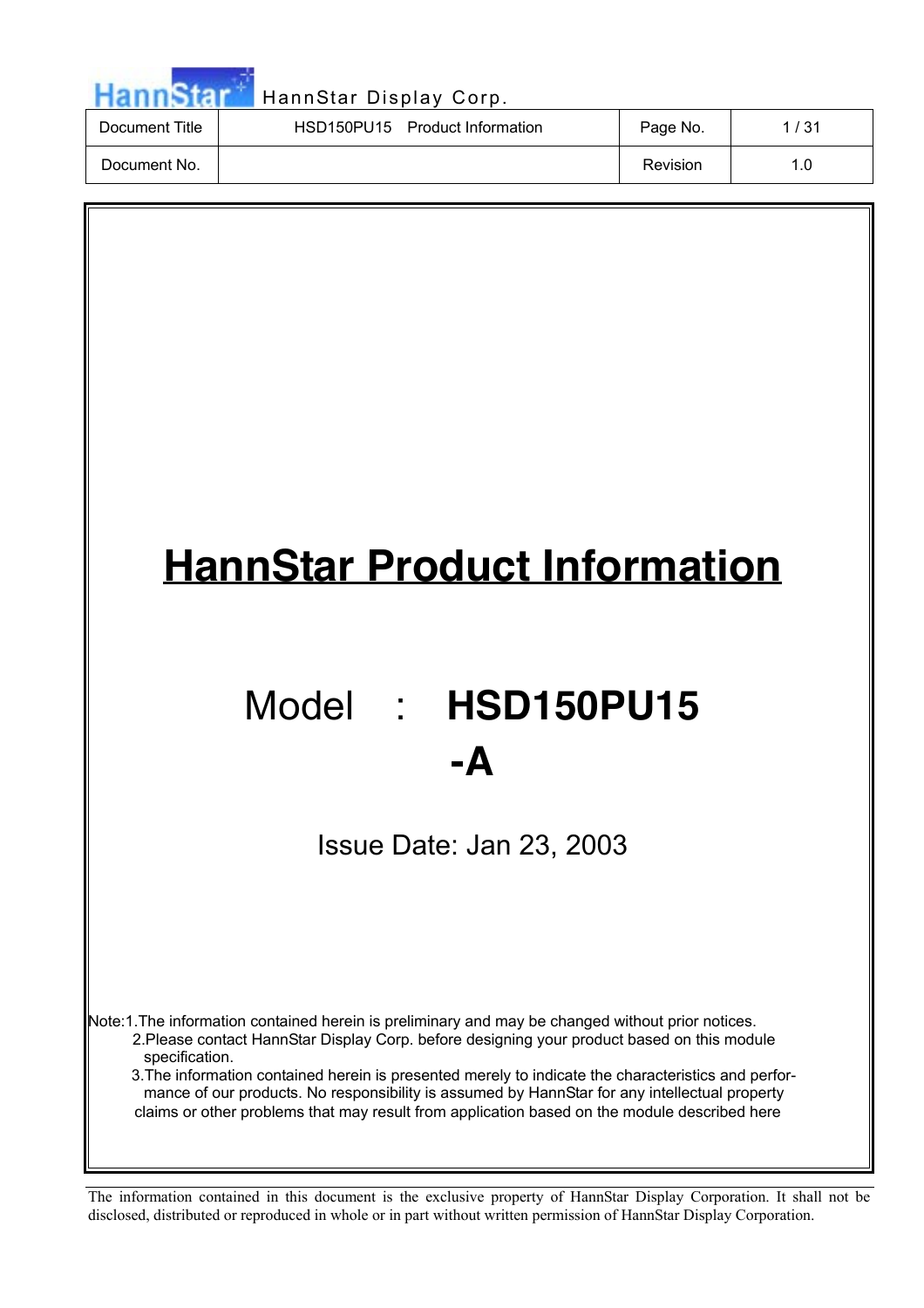|                | HannStar Display Corp.         |          |      |
|----------------|--------------------------------|----------|------|
| Document Title | HSD150PU15 Product Information | Page No. | 1/31 |
| Document No.   |                                | Revision | 1.0  |



# Model : **HSD150PU15 -A**

Issue Date: Jan 23, 2003

Note:1.The information contained herein is preliminary and may be changed without prior notices. 2.Please contact HannStar Display Corp. before designing your product based on this module specification.

3.The information contained herein is presented merely to indicate the characteristics and performance of our products. No responsibility is assumed by HannStar for any intellectual property claims or other problems that may result from application based on the module described here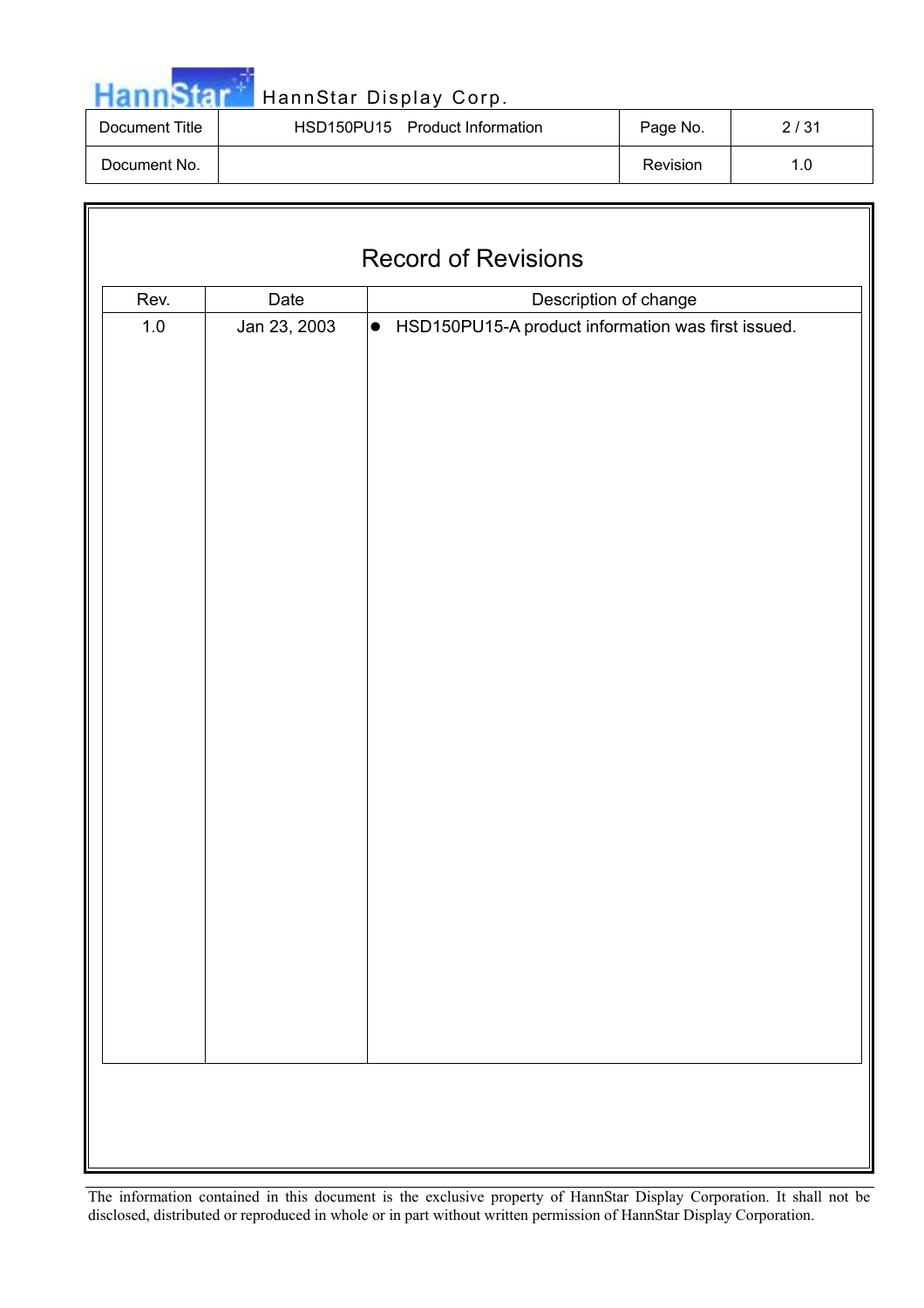|  |  | <b>HannStar</b> |
|--|--|-----------------|
|  |  |                 |

# **T**<br>HannStar Display Corp.

| Document Title | HSD150PU15 Product Information | Page No. | 2/31 |
|----------------|--------------------------------|----------|------|
| Document No.   |                                | Revision | 1.0  |

| <b>Record of Revisions</b> |                               |                                                                 |  |  |  |  |  |
|----------------------------|-------------------------------|-----------------------------------------------------------------|--|--|--|--|--|
| Rev.                       | Date<br>Description of change |                                                                 |  |  |  |  |  |
| $1.0\,$                    | Jan 23, 2003                  | $\bullet$<br>HSD150PU15-A product information was first issued. |  |  |  |  |  |
|                            |                               |                                                                 |  |  |  |  |  |
|                            |                               |                                                                 |  |  |  |  |  |
|                            |                               |                                                                 |  |  |  |  |  |
|                            |                               |                                                                 |  |  |  |  |  |
|                            |                               |                                                                 |  |  |  |  |  |
|                            |                               |                                                                 |  |  |  |  |  |
|                            |                               |                                                                 |  |  |  |  |  |
|                            |                               |                                                                 |  |  |  |  |  |
|                            |                               |                                                                 |  |  |  |  |  |
|                            |                               |                                                                 |  |  |  |  |  |
|                            |                               |                                                                 |  |  |  |  |  |
|                            |                               |                                                                 |  |  |  |  |  |
|                            |                               |                                                                 |  |  |  |  |  |
|                            |                               |                                                                 |  |  |  |  |  |
|                            |                               |                                                                 |  |  |  |  |  |
|                            |                               |                                                                 |  |  |  |  |  |
|                            |                               |                                                                 |  |  |  |  |  |
|                            |                               |                                                                 |  |  |  |  |  |
|                            |                               |                                                                 |  |  |  |  |  |
|                            |                               |                                                                 |  |  |  |  |  |
|                            |                               |                                                                 |  |  |  |  |  |
|                            |                               |                                                                 |  |  |  |  |  |
|                            |                               |                                                                 |  |  |  |  |  |
|                            |                               |                                                                 |  |  |  |  |  |
|                            |                               |                                                                 |  |  |  |  |  |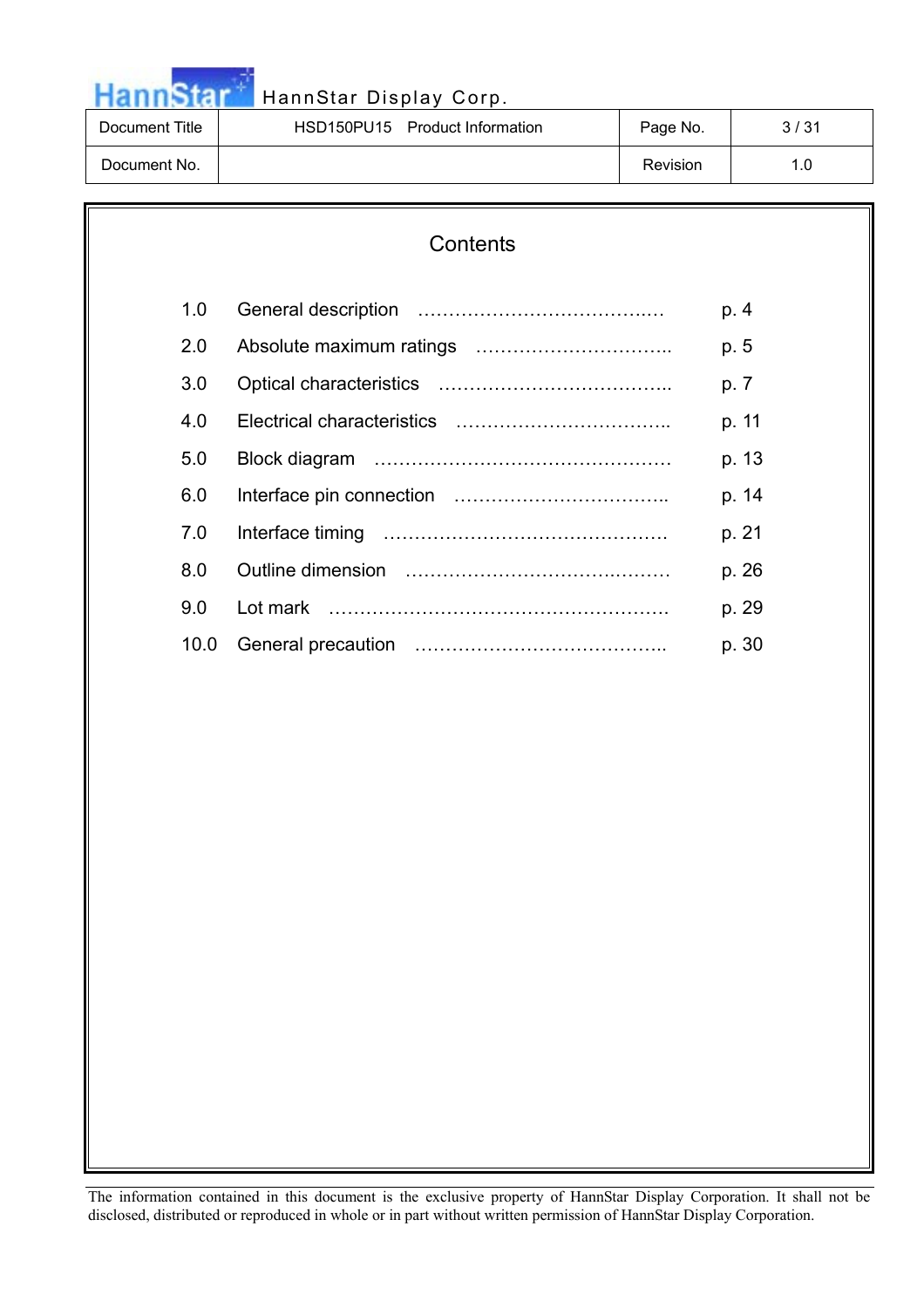| <b>HannStar</b> |  |  |
|-----------------|--|--|

| Document Title | HSD150PU15 Product Information | Page No. | 3/31 |
|----------------|--------------------------------|----------|------|
| Document No.   |                                | Revision | 1.0  |

# **Contents**

| 1.0  | p. 4  |
|------|-------|
|      |       |
| 2.0  | p. 5  |
| 3.0  | p. 7  |
| 4.0  | p. 11 |
| 5.0  | p. 13 |
| 6.0  | p. 14 |
| 7.0  | p. 21 |
| 8.0  | p. 26 |
| 9.0  | p. 29 |
| 10.0 | p. 30 |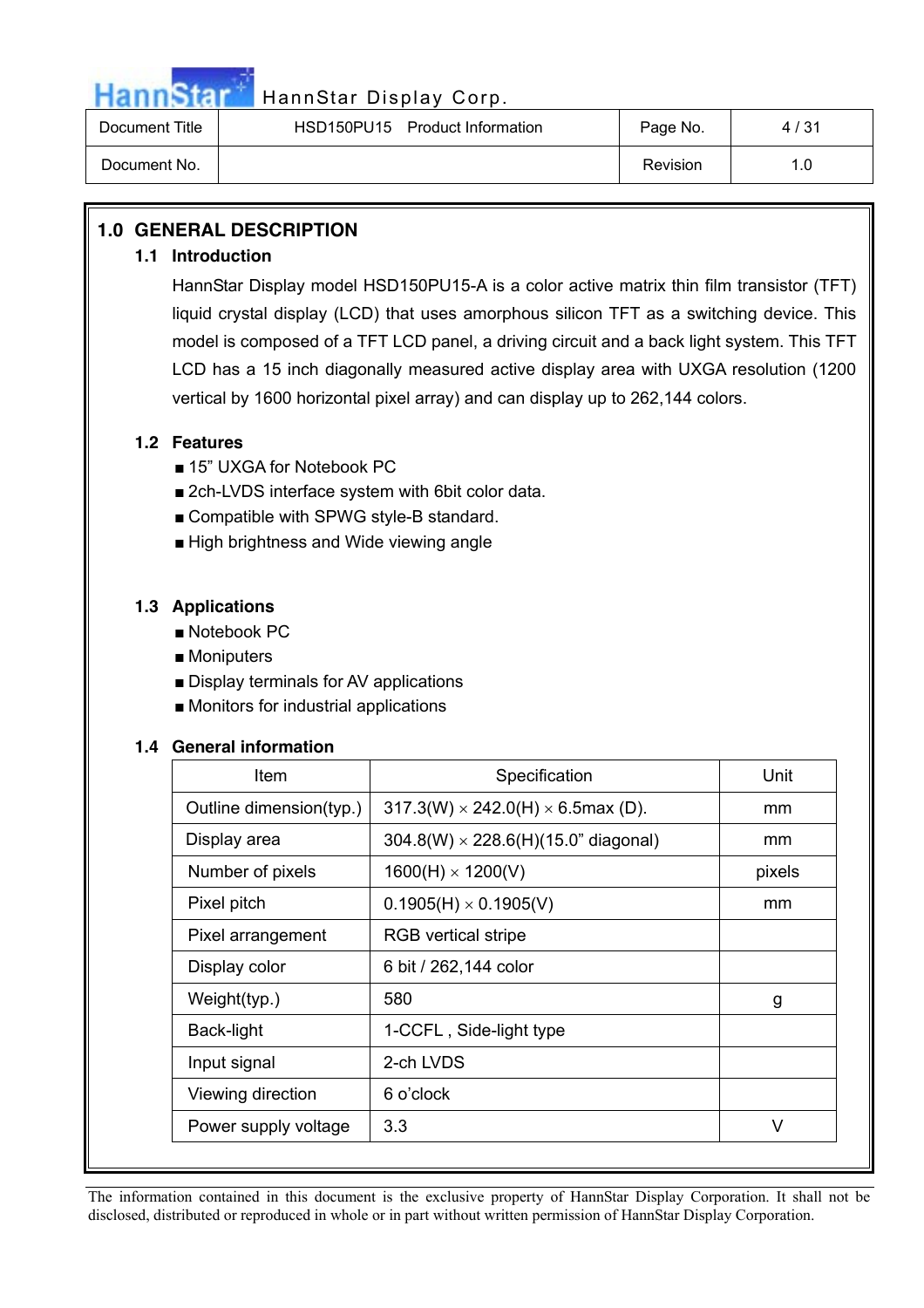

| Document Title | HSD150PU15 Product Information | Page No. | 4/31 |
|----------------|--------------------------------|----------|------|
| Document No.   |                                | Revision | 1.0  |

# **1.0 GENERAL DESCRIPTION**

### **1.1 Introduction**

HannStar Display model HSD150PU15-A is a color active matrix thin film transistor (TFT) liquid crystal display (LCD) that uses amorphous silicon TFT as a switching device. This model is composed of a TFT LCD panel, a driving circuit and a back light system. This TFT LCD has a 15 inch diagonally measured active display area with UXGA resolution (1200 vertical by 1600 horizontal pixel array) and can display up to 262,144 colors.

## **1.2 Features**

- 15" UXGA for Notebook PC
- 2ch-LVDS interface system with 6bit color data.
- $\blacksquare$  Compatible with SPWG style-B standard.
- $\blacksquare$  High brightness and Wide viewing angle

### **1.3 Applications**

- $\blacksquare$  Notebook PC
- $\blacksquare$  Moniputers
- $\blacksquare$  Display terminals for AV applications
- $\blacksquare$  Monitors for industrial applications

#### **1.4 General information**

| Item                    | Specification                                  | Unit   |
|-------------------------|------------------------------------------------|--------|
| Outline dimension(typ.) | $317.3(W) \times 242.0(H) \times 6.5$ max (D). | mm     |
| Display area            | $304.8(W) \times 228.6(H)(15.0"$ diagonal)     | mm     |
| Number of pixels        | $1600(H) \times 1200(V)$                       | pixels |
| Pixel pitch             | $0.1905(H) \times 0.1905(V)$                   | mm     |
| Pixel arrangement       | <b>RGB</b> vertical stripe                     |        |
| Display color           | 6 bit / 262,144 color                          |        |
| Weight(typ.)            | 580                                            | g      |
| Back-light              | 1-CCFL, Side-light type                        |        |
| Input signal            | 2-ch LVDS                                      |        |
| Viewing direction       | 6 o'clock                                      |        |
| Power supply voltage    | 3.3                                            | V      |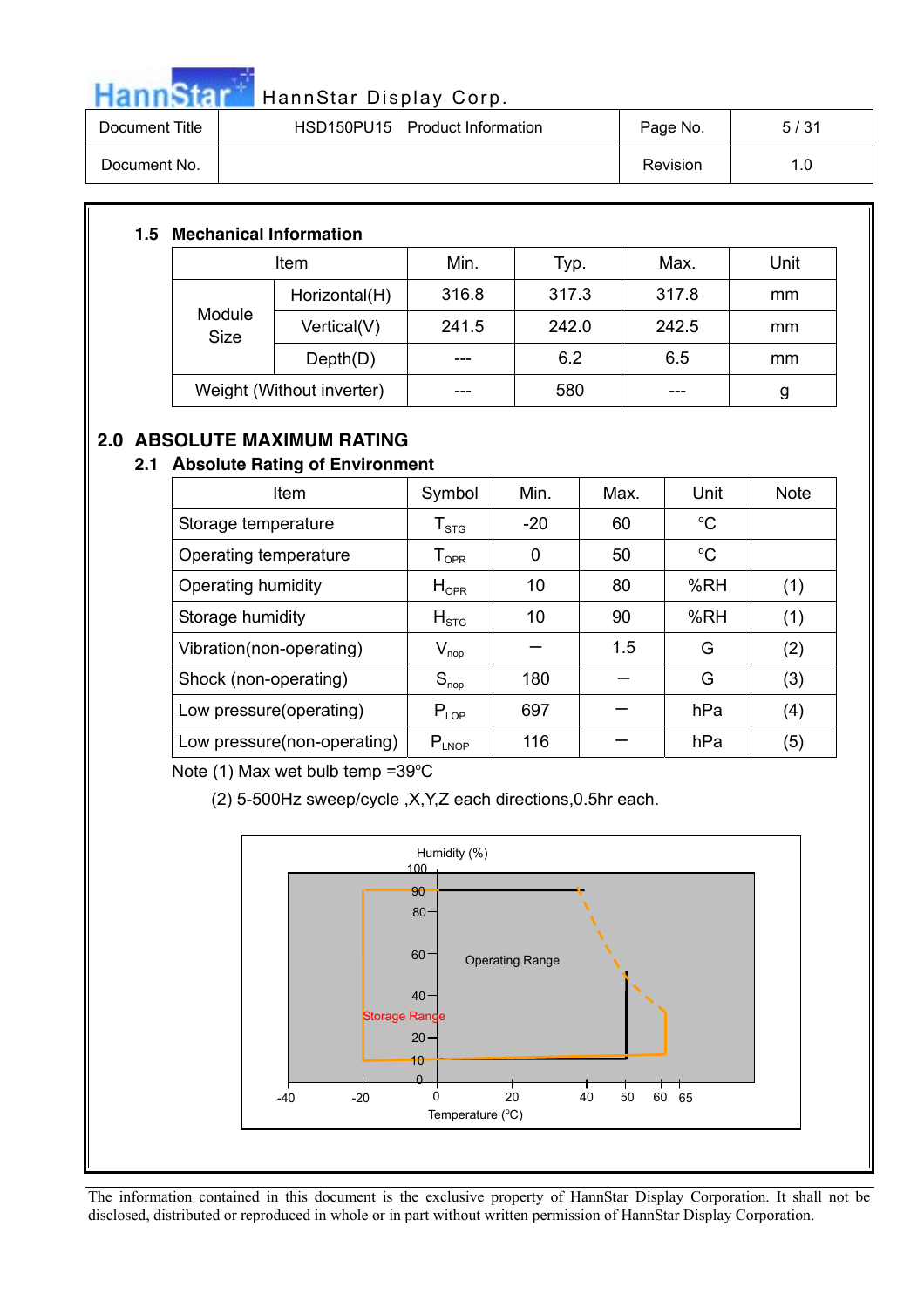

| Document Title | HSD150PU15 Product Information | Page No. | 5/31 |
|----------------|--------------------------------|----------|------|
| Document No.   |                                | Revision | 1.0  |

## **1.5 Mechanical Information**

| <b>Item</b>           |                           | Min.  | Typ.  | Max.  | Unit |
|-----------------------|---------------------------|-------|-------|-------|------|
| Module<br><b>Size</b> | Horizontal(H)             | 316.8 | 317.3 | 317.8 | mm   |
|                       | Vertical(V)               | 241.5 | 242.0 | 242.5 | mm   |
|                       | Depth(D)                  |       | 6.2   | 6.5   | mm   |
|                       | Weight (Without inverter) |       | 580   |       | g    |

# **2.0 ABSOLUTE MAXIMUM RATING**

## **2.1 Absolute Rating of Environment**

| Item                        | Symbol                                                     | Min.  | Max. | Unit        | <b>Note</b> |
|-----------------------------|------------------------------------------------------------|-------|------|-------------|-------------|
| Storage temperature         | ${\sf T}_{\text{STG}}$                                     | $-20$ | 60   | $\rm ^{o}C$ |             |
| Operating temperature       | ${\mathsf T}_{\textsf{OPR}}$                               | 0     | 50   | $\rm ^{o}C$ |             |
| Operating humidity          | $H_{\text{OPR}}$                                           | 10    | 80   | %RH         | (1)         |
| Storage humidity            | $H_{\text{STG}}$                                           | 10    | 90   | %RH         | (1)         |
| Vibration(non-operating)    | $\mathsf{V}_{\mathsf{nop}}$                                |       | 1.5  | G           | (2)         |
| Shock (non-operating)       | $S_{\text{nop}}$                                           | 180   |      | G           | (3)         |
| Low pressure(operating)     | $P_{LOP}$                                                  | 697   |      | hPa         | (4)         |
| Low pressure(non-operating) | $\mathsf{P}_{\mathsf{L} \mathsf{N} \mathsf{O} \mathsf{P}}$ | 116   |      | hPa         | (5)         |

Note  $(1)$  Max wet bulb temp = 39 $^{\circ}$ C

(2) 5-500Hz sweep/cycle ,X,Y,Z each directions,0.5hr each.

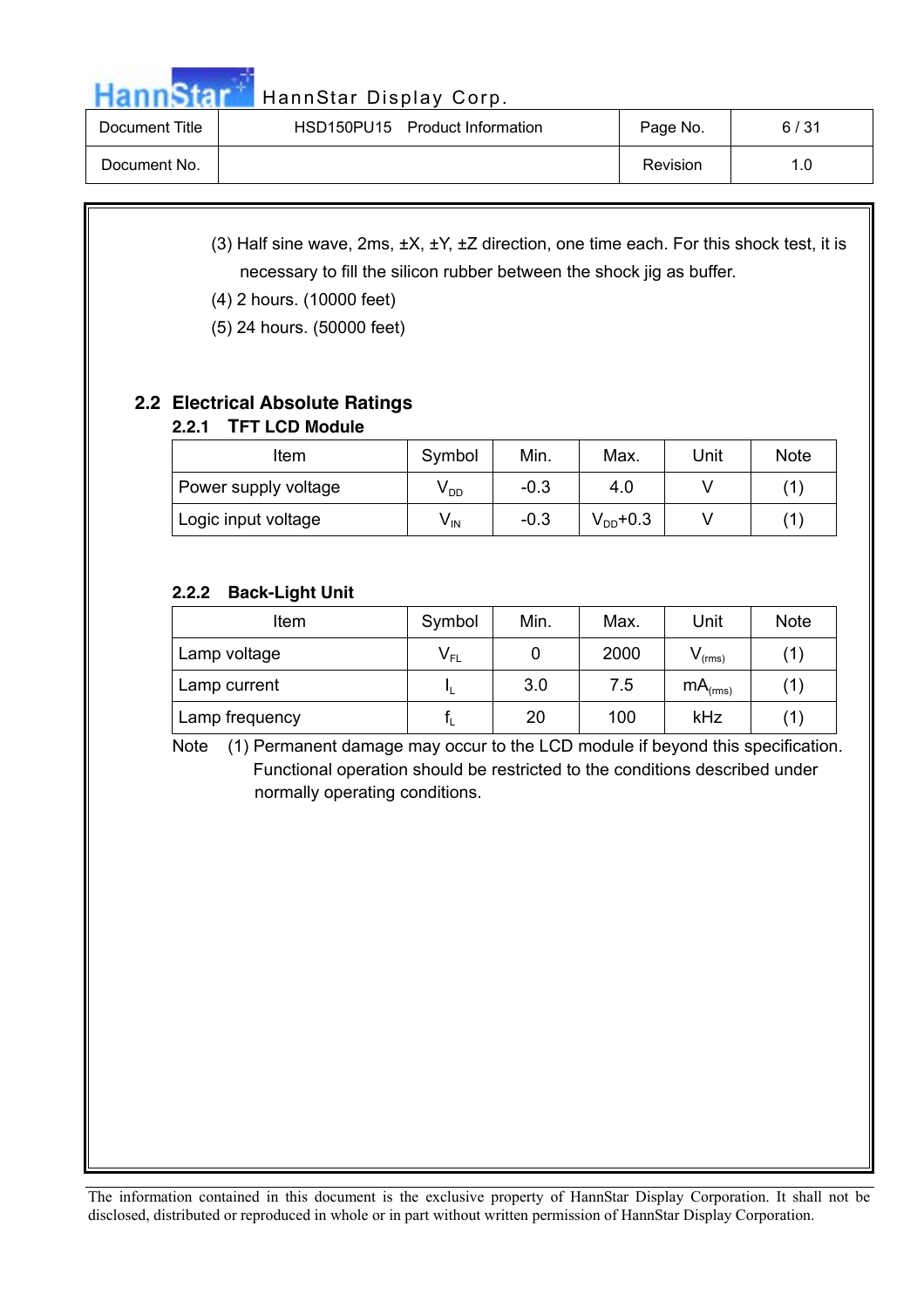HannStar HannStar Display Corp.

| Document Title | HSD150PU15 Product Information | Page No. | 6/31 |
|----------------|--------------------------------|----------|------|
| Document No.   |                                | Revision | 1.0  |

- (3) Half sine wave, 2ms, ±X, ±Y, ±Z direction, one time each. For this shock test, it is necessary to fill the silicon rubber between the shock jig as buffer.
- (4) 2 hours. (10000 feet)
- (5) 24 hours. (50000 feet)

# **2.2 Electrical Absolute Ratings**

# **2.2.1 TFT LCD Module**

| ltem                 | Symbol          | Min.   | Max.          | Unit | <b>Note</b> |
|----------------------|-----------------|--------|---------------|------|-------------|
| Power supply voltage | V <sub>DD</sub> | $-0.3$ | 4.0           |      |             |
| Logic input voltage  | V <sub>IN</sub> | $-0.3$ | $V_{DD}$ +0.3 |      | 11          |

# **2.2.2 Back-Light Unit**

| Item           | Symbol                     | Min. | Max. | Unit                | <b>Note</b> |
|----------------|----------------------------|------|------|---------------------|-------------|
| Lamp voltage   | $\mathsf{V}_{\mathsf{FL}}$ |      | 2000 | $V_{\text{(rms)}}$  |             |
| Lamp current   |                            | 3.0  | 7.5  | mA <sub>(rms)</sub> | ้1)         |
| Lamp frequency |                            | 20   | 100  | kHz                 |             |

Note (1) Permanent damage may occur to the LCD module if beyond this specification. Functional operation should be restricted to the conditions described under normally operating conditions.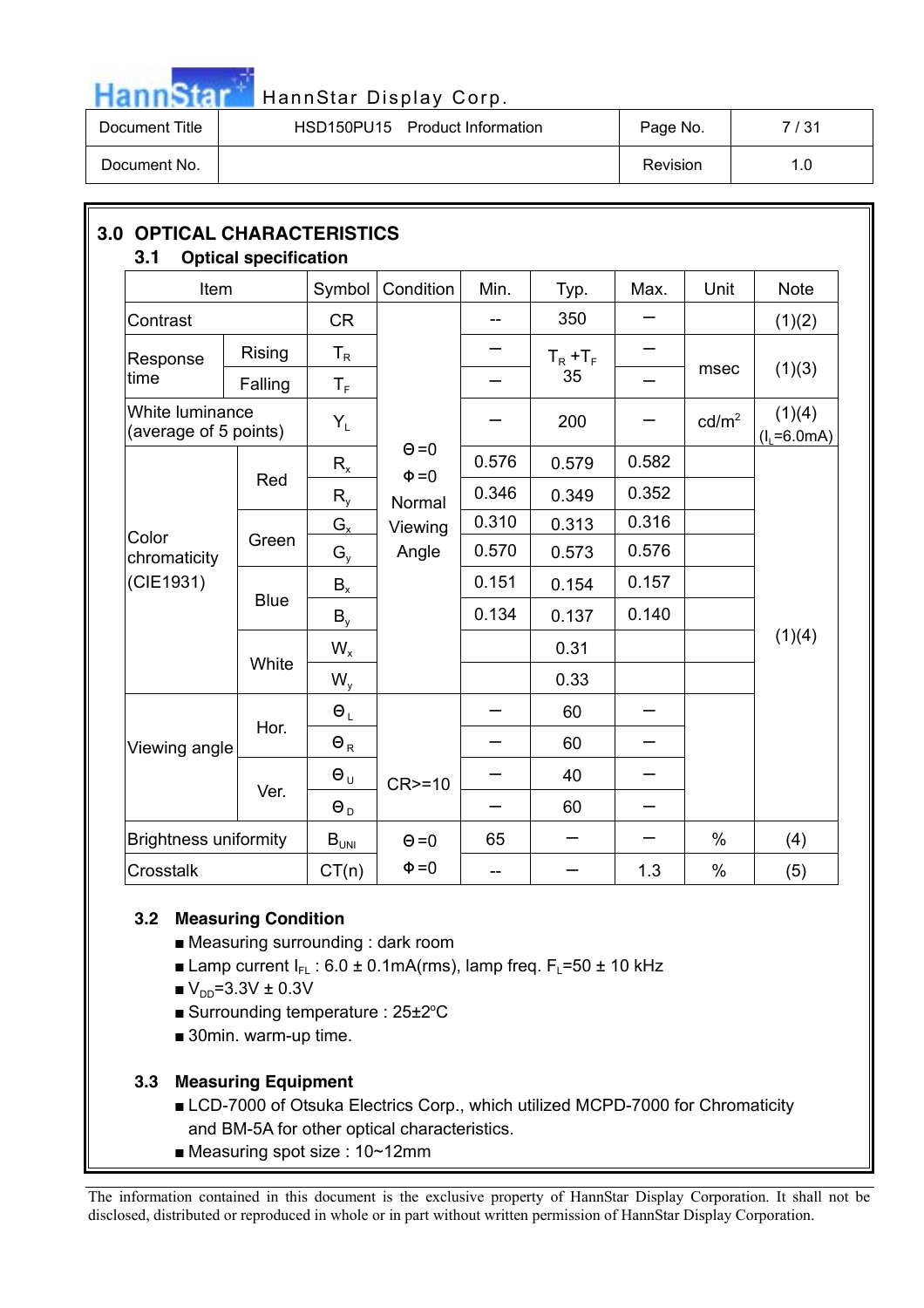

# HannStar HannStar Display Corp.

| Document Title | HSD150PU15 Product Information | Page No. | 7 / 31 |
|----------------|--------------------------------|----------|--------|
| Document No.   |                                | Revision | 1.0    |

| Item                                     |             | Symbol                        | Condition                  | Min.  | Typ.        | Max.  | Unit              | <b>Note</b>               |
|------------------------------------------|-------------|-------------------------------|----------------------------|-------|-------------|-------|-------------------|---------------------------|
| Contrast                                 |             | <b>CR</b>                     |                            |       | 350         |       |                   | (1)(2)                    |
| Response                                 | Rising      | $T_R$                         |                            |       | $T_R + T_F$ |       |                   |                           |
| time                                     | Falling     | $T_{\scriptscriptstyle\rm F}$ |                            |       | 35          |       | msec              | (1)(3)                    |
| White luminance<br>(average of 5 points) |             | $Y_L$                         |                            |       | 200         |       | cd/m <sup>2</sup> | (1)(4)<br>$(I_L = 6.0mA)$ |
|                                          |             | $R_{x}$                       | $\Theta = 0$<br>$\Phi = 0$ | 0.576 | 0.579       | 0.582 |                   |                           |
|                                          | Red         | $R_{y}$                       | Normal                     | 0.346 | 0.349       | 0.352 |                   |                           |
| Color                                    |             | $G_{x}$                       | Viewing                    | 0.310 | 0.313       | 0.316 |                   |                           |
| chromaticity                             | Green       | $G_{y}$                       | Angle                      | 0.570 | 0.573       | 0.576 |                   |                           |
| (CIE1931)                                | <b>Blue</b> | $B_{x}$                       |                            | 0.151 | 0.154       | 0.157 |                   |                           |
|                                          |             | $B_{y}$                       |                            | 0.134 | 0.137       | 0.140 |                   |                           |
|                                          |             | $W_{x}$                       |                            |       | 0.31        |       |                   | (1)(4)                    |
|                                          | White       | $W_{y}$                       |                            |       | 0.33        |       |                   |                           |
|                                          |             | $\Theta_L$                    |                            |       | 60          |       |                   |                           |
| Viewing angle                            | Hor.        | $\Theta_R$                    |                            |       | 60          |       |                   |                           |
|                                          |             | $\Theta_{U}$                  | $CR>=10$                   |       | 40          |       |                   |                           |
|                                          | Ver.        | $\Theta_D$                    |                            |       | 60          |       |                   |                           |
| <b>Brightness uniformity</b>             |             | $B_{UNI}$                     | $\Theta = 0$               | 65    |             |       | $\%$              | (4)                       |
| Crosstalk                                |             | CT(n)                         | $\Phi = 0$                 | $-$   |             | 1.3   | $\%$              | (5)                       |

## **3.2 Measuring Condition**

- $\blacksquare$  Measuring surrounding : dark room
- **E** Lamp current  $I_{FL}$  : 6.0 ± 0.1mA(rms), lamp freq.  $F_L$ =50 ± 10 kHz
- $V_{DD} = 3.3V \pm 0.3V$
- Surrounding temperature : 25±2°C
- $\blacksquare$  30min. warm-up time.

## **3.3 Measuring Equipment**

- LCD-7000 of Otsuka Electrics Corp., which utilized MCPD-7000 for Chromaticity and BM-5A for other optical characteristics.
- $\blacksquare$  Measuring spot size : 10~12mm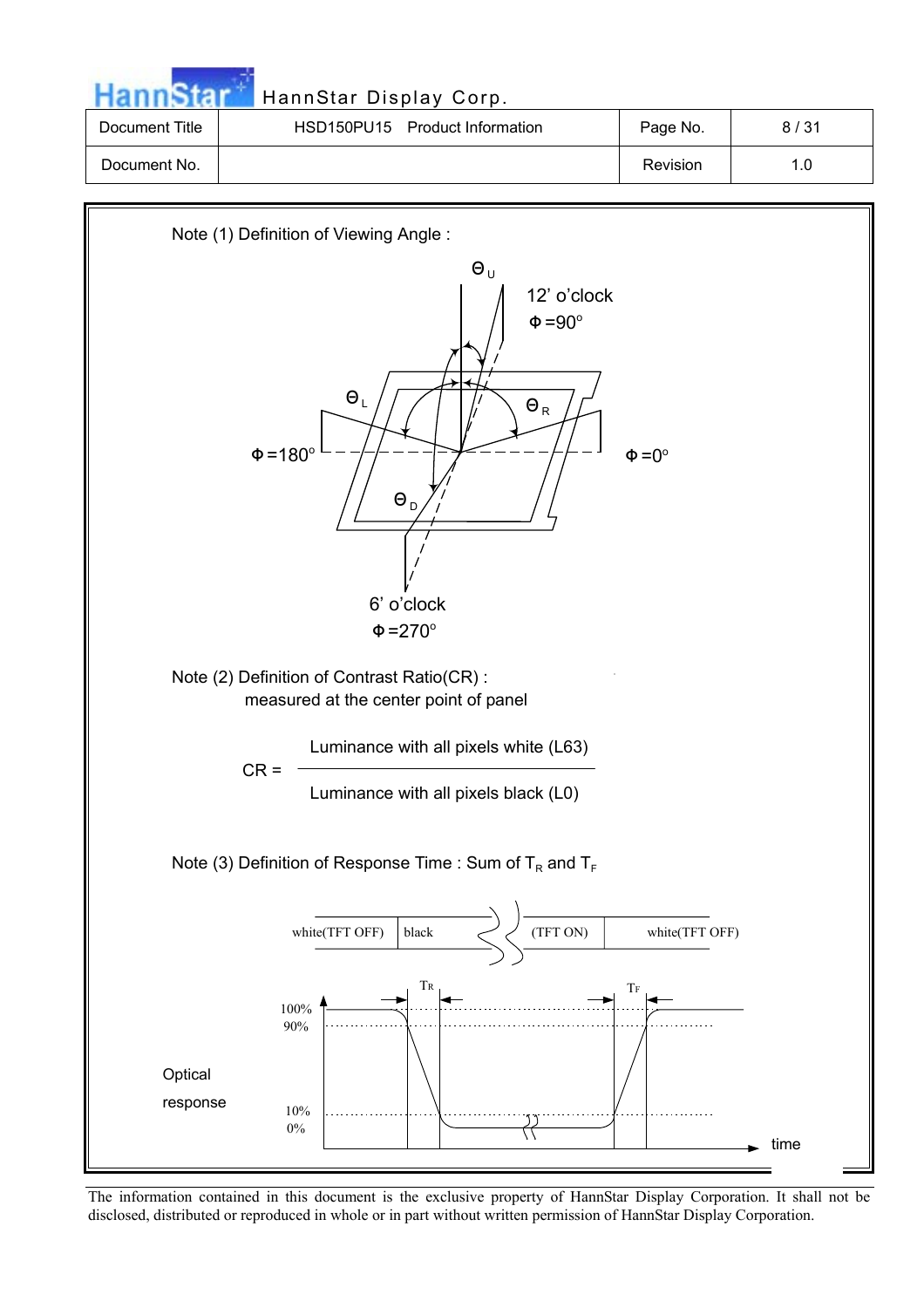|                | HannStar Display Corp.         |          |      |
|----------------|--------------------------------|----------|------|
| Document Title | HSD150PU15 Product Information | Page No. | 8/31 |
| Document No.   |                                | Revision | 1.0  |



The information contained in this document is the exclusive property of HannStar Display Corporation. It shall not be disclosed, distributed or reproduced in whole or in part without written permission of HannStar Display Corporation.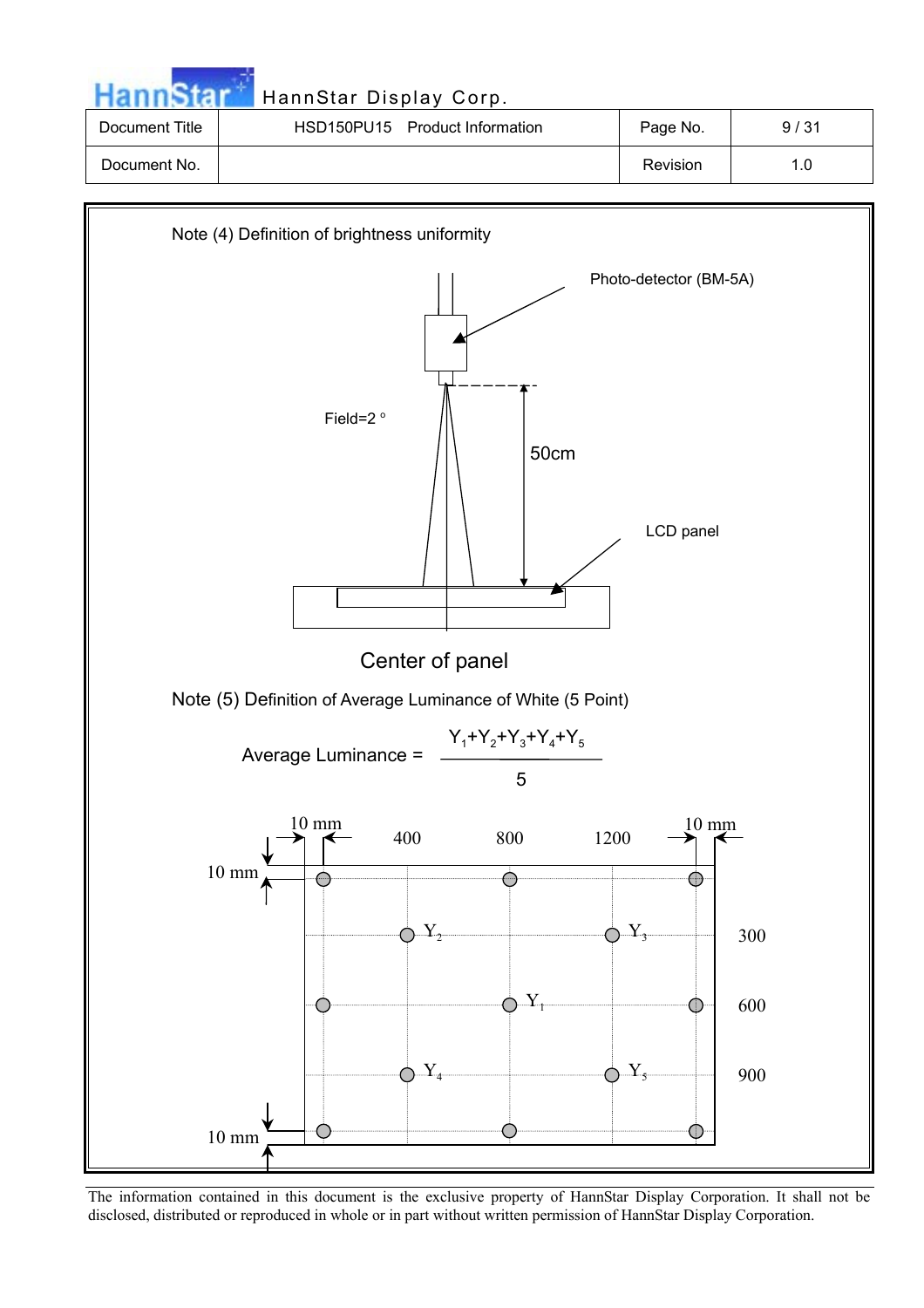|                | HannStar Display Corp.         |          |      |
|----------------|--------------------------------|----------|------|
| Document Title | HSD150PU15 Product Information | Page No. | 9/31 |
| Document No.   |                                | Revision | 1.0  |
|                |                                |          |      |



The information contained in this document is the exclusive property of HannStar Display Corporation. It shall not be disclosed, distributed or reproduced in whole or in part without written permission of HannStar Display Corporation.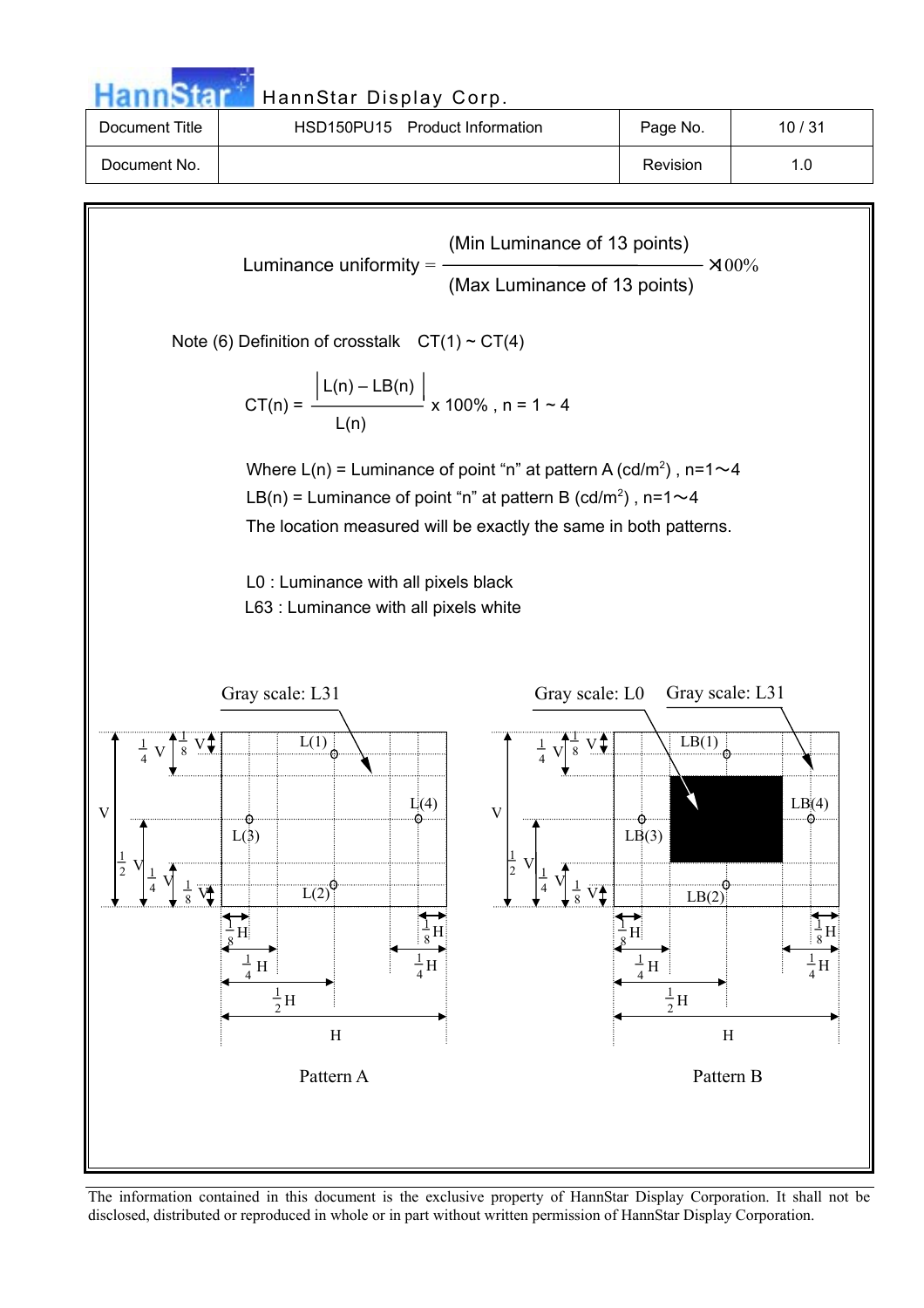| <b>HannStar</b> | HannStar Display Corp.         |          |       |  |  |
|-----------------|--------------------------------|----------|-------|--|--|
| Document Title  | HSD150PU15 Product Information | Page No. | 10/31 |  |  |
| Document No.    |                                | Revision | 1.0   |  |  |

Luminance uniformity =  $\frac{300\%}{400\%}$ Note (6) Definition of crosstalk  $CT(1) \sim CT(4)$  $\lfloor L(n) - LB(n) \rfloor$  $CT(n) =$   $\frac{1}{2}$  x 100% , n = 1 ~ 4  $L(n)$ Where L(n) = Luminance of point "n" at pattern A (cd/m<sup>2</sup>), n=1 $\sim$ 4 LB(n) = Luminance of point "n" at pattern B (cd/m<sup>2</sup>), n=1 $\sim$ 4 The location measured will be exactly the same in both patterns. L0 : Luminance with all pixels black L63 : Luminance with all pixels white  $rac{1}{8}$  V  $\overline{V_1}$ 8  $\frac{1}{4}$  V  $\frac{1}{4}$  V 4  $\frac{1}{2}$  V  $\pm$ 2 V 1  $\overrightarrow{H}$ 1  $rac{1}{8}H$ H 1  $\frac{1}{4}H$  $\frac{1}{4}$ H  $\overline{L(1)}$  $\overline{L(2)}$  $L(3)$  $L(4)$  $\frac{1}{2}$ H  $\frac{1}{\mathsf{S}}\mathsf{V}$  $\div$ 8  $\overline{V}$ <sup>1</sup> 8  $\frac{1}{4}$  V 4  $\frac{1}{4}$  V 4  $\frac{1}{2}$  V ۳ 2 V 1  $\rm H^i$ 1  $rac{1}{8}H$ H 1  $\frac{1}{4}$ H  $\frac{1}{4}$ H  $LB(1)$  $LB(2)$  $LB(3)$  $LB(4)$  $\frac{1}{2}$ H Pattern A Pattern B Gray scale: L31 Gray scale: L0 Gray scale: L31 (Min Luminance of 13 points) (Max Luminance of 13 points)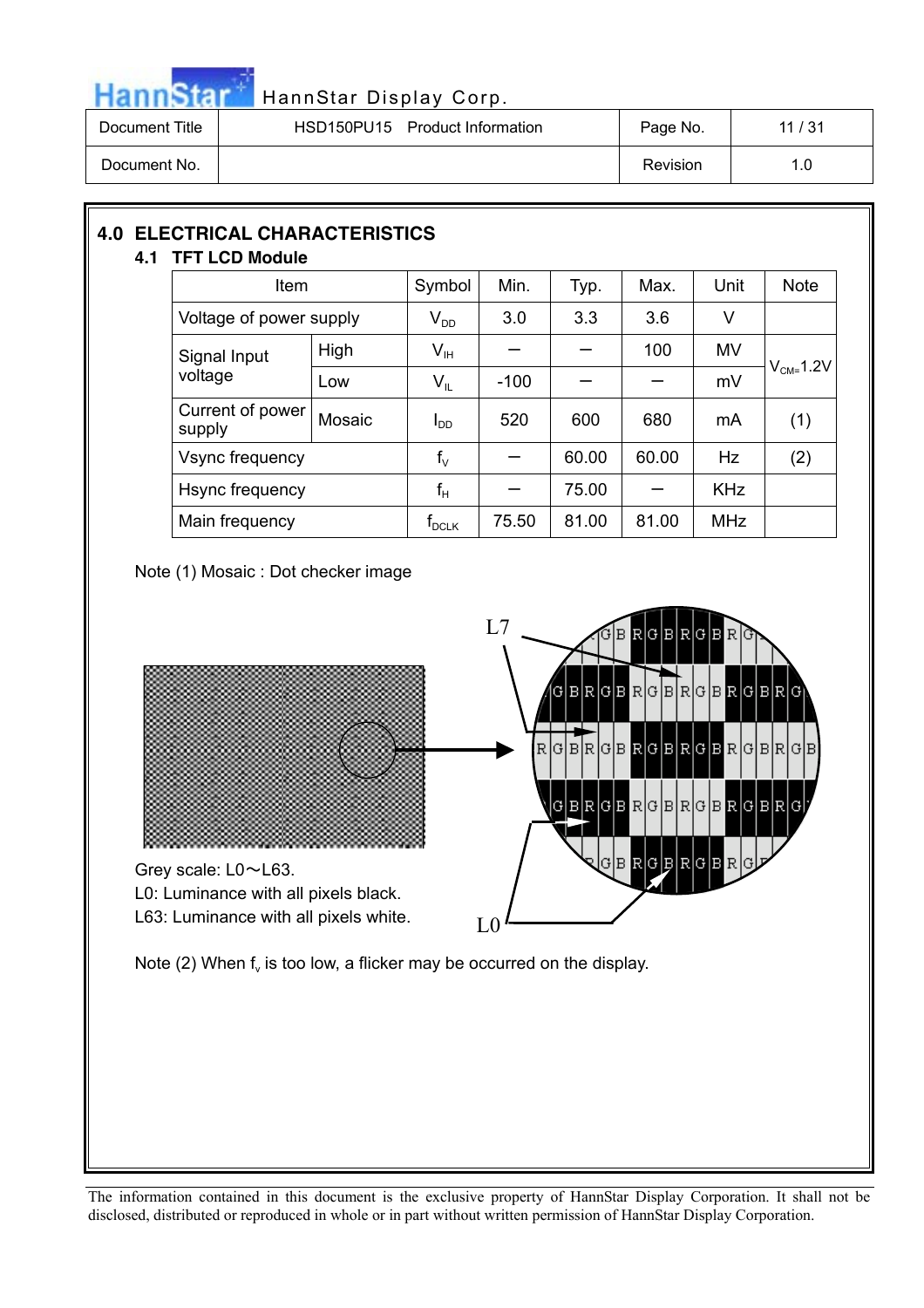

# Hann Star HannStar Display Corp.

| Document Title | HSD150PU15 Product Information | Page No. | 11 / 31 |
|----------------|--------------------------------|----------|---------|
| Document No.   |                                | Revision |         |

# **4.0 ELECTRICAL CHARACTERISTICS**

# **4.1 TFT LCD Module**

| Item                       |        | Symbol                     | Min.   | Typ.  | Max.  | Unit       | <b>Note</b>    |
|----------------------------|--------|----------------------------|--------|-------|-------|------------|----------------|
| Voltage of power supply    |        | $\mathsf{V}_{\mathsf{DD}}$ | 3.0    | 3.3   | 3.6   | V          |                |
| Signal Input<br>voltage    | High   | $V_{\text{IH}}$            |        |       | 100   | <b>MV</b>  |                |
|                            | Low    | $V_{IL}$                   | $-100$ |       |       | mV         | $V_{CM=}$ 1.2V |
| Current of power<br>supply | Mosaic | Inn                        | 520    | 600   | 680   | mA         | (1)            |
| Vsync frequency            |        | $f_{\vee}$                 |        | 60.00 | 60.00 | Hz         | (2)            |
| Hsync frequency            |        | $f_H$                      |        | 75.00 |       | <b>KHz</b> |                |
| Main frequency             |        | $f_{\textrm{\tiny{DCLK}}}$ | 75.50  | 81.00 | 81.00 | <b>MHz</b> |                |

Note (1) Mosaic : Dot checker image

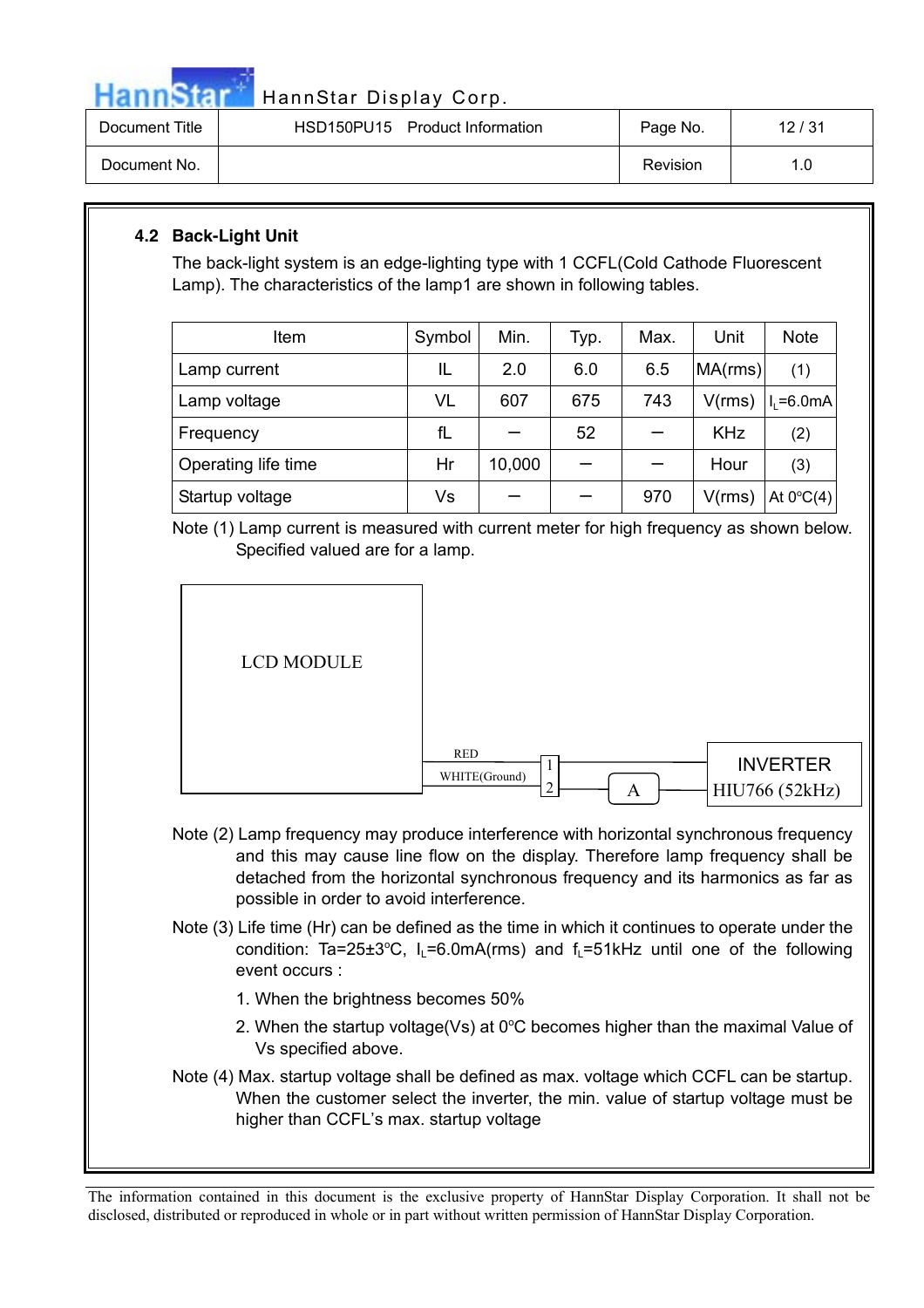

# HannStar HannStar Display Corp.

| Document Title | HSD150PU15 Product Information | Page No. | 12/31 |
|----------------|--------------------------------|----------|-------|
| Document No.   |                                | Revision |       |

# **4.2 Back-Light Unit**

The back-light system is an edge-lighting type with 1 CCFL(Cold Cathode Fluorescent Lamp). The characteristics of the lamp1 are shown in following tables.

| Item                | Symbol | Min.   | Typ. | Max. | Unit       | <b>Note</b>           |
|---------------------|--------|--------|------|------|------------|-----------------------|
| Lamp current        | IL     | 2.0    | 6.0  | 6.5  | MA(rms)    | (1)                   |
| Lamp voltage        | VL     | 607    | 675  | 743  | V(rms)     | $I_1 = 6.0 \text{mA}$ |
| Frequency           | fL     |        | 52   |      | <b>KHz</b> | (2)                   |
| Operating life time | Hr     | 10,000 |      |      | Hour       | (3)                   |
| Startup voltage     | Vs     |        |      | 970  | V(rms)     | At $0^{\circ}C(4)$    |

Note (1) Lamp current is measured with current meter for high frequency as shown below. Specified valued are for a lamp.





- Note (2) Lamp frequency may produce interference with horizontal synchronous frequency and this may cause line flow on the display. Therefore lamp frequency shall be detached from the horizontal synchronous frequency and its harmonics as far as possible in order to avoid interference.
- Note (3) Life time (Hr) can be defined as the time in which it continues to operate under the condition: Ta=25 $\pm 3^{\circ}$ C, I<sub>L</sub>=6.0mA(rms) and f<sub>L</sub>=51kHz until one of the following event occurs :
	- 1. When the brightness becomes 50%
	- 2. When the startup voltage(Vs) at  $0^{\circ}$ C becomes higher than the maximal Value of Vs specified above.
- Note (4) Max. startup voltage shall be defined as max. voltage which CCFL can be startup. When the customer select the inverter, the min. value of startup voltage must be higher than CCFL's max. startup voltage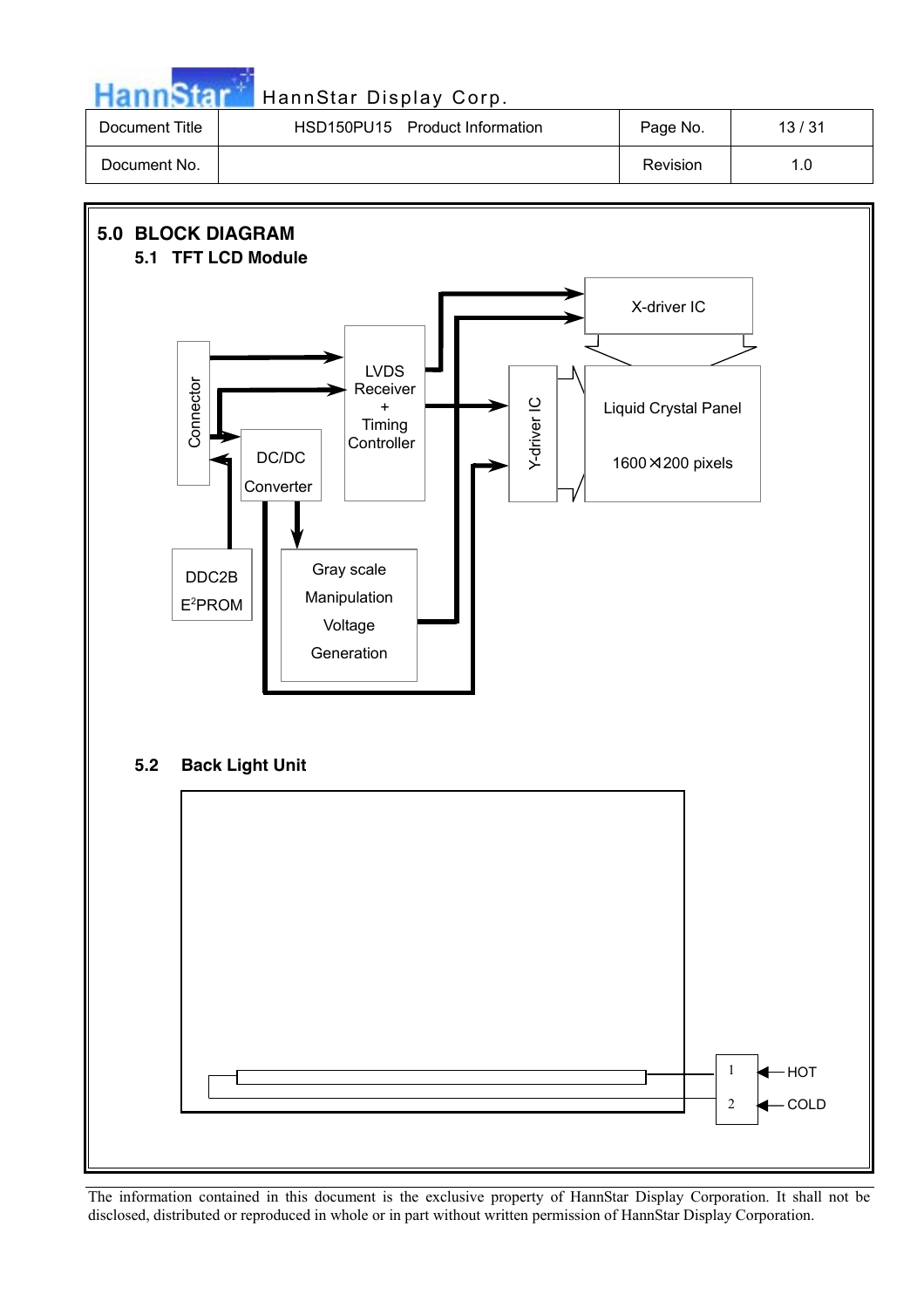|                | HannStar Display Corp.         |          |       |
|----------------|--------------------------------|----------|-------|
| Document Title | HSD150PU15 Product Information | Page No. | 13/31 |
| Document No.   |                                | Revision | 1.0   |

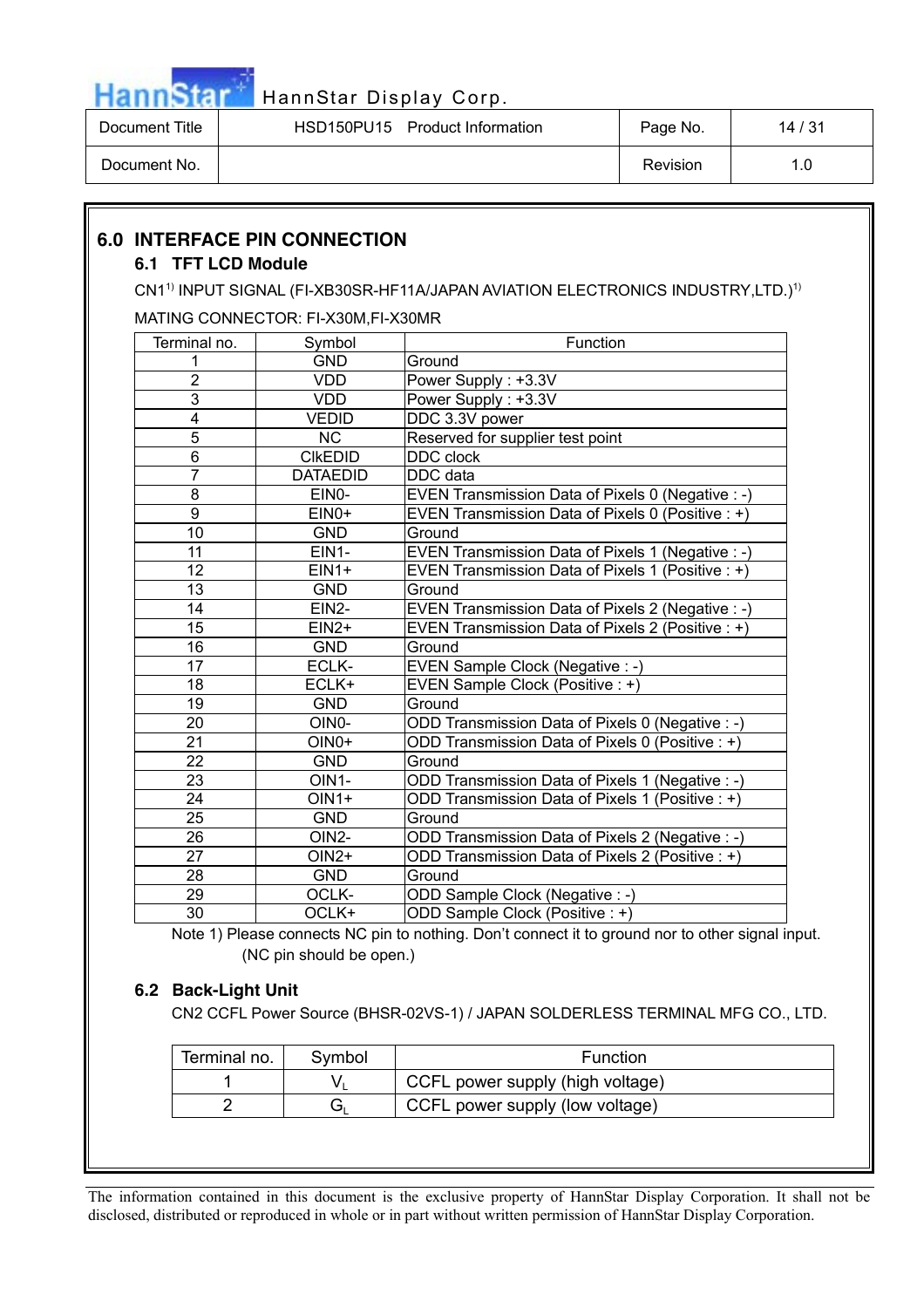

Document Title | HSD150PU15 Product Information | Page No. | 14/31

Document No. 2008. The series of the series of the series of the series of the series of the series of the series of the series of the series of the series of the series of the series of the series of the series of the ser

#### **6.0 INTERFACE PIN CONNECTION 6.1 TFT LCD Module** CN1<sup>1)</sup> INPUT SIGNAL (FI-XB30SR-HF11A/JAPAN AVIATION ELECTRONICS INDUSTRY,LTD.)<sup>1)</sup> MATING CONNECTOR: FI-X30M,FI-X30MR Terminal no. | Symbol | Function 1 GND Ground 2 VDD Power Supply : +3.3V 3 VDD Power Supply : +3.3V 4 VEDID DDC 3.3V power 5 NC Reserved for supplier test point 6 | CIKEDID | DDC clock 7 | DATAEDID | DDC data 8 **EINO-** EVEN Transmission Data of Pixels 0 (Negative : -) 9 EIN0+ EVEN Transmission Data of Pixels 0 (Positive : +) 10 | GND Ground 11 **EIN1-** EVEN Transmission Data of Pixels 1 (Negative : -) 12 EIN1+ EVEN Transmission Data of Pixels 1 (Positive : +) 13 | GND Ground 14 EIN2- EVEN Transmission Data of Pixels 2 (Negative : -) 15 EIN2+ EVEN Transmission Data of Pixels 2 (Positive : +) 16 | GND Ground 17 | ECLK- | EVEN Sample Clock (Negative : -) 18 **ECLK+** EVEN Sample Clock (Positive : +) 19 **GND** Ground 20 **OINO-** OINO- **ODD Transmission Data of Pixels 0 (Negative : -)** 21 **OIN0+** ODD Transmission Data of Pixels 0 (Positive : +) 22 GND Ground 23 OIN1- ODD Transmission Data of Pixels 1 (Negative : -) 24 OIN1+ ODD Transmission Data of Pixels 1 (Positive : +) 25 | GND Ground 26 **OIN2- OIN2- OID Transmission Data of Pixels 2 (Negative : -)** 27 **OIN2+** ODD Transmission Data of Pixels 2 (Positive : +) 28 GND Ground 29 OCLK- ODD Sample Clock (Negative : -) 30 OCLK+ ODD Sample Clock (Positive : +)

Note 1) Please connects NC pin to nothing. Don't connect it to ground nor to other signal input. (NC pin should be open.)

# **6.2 Back-Light Unit**

CN2 CCFL Power Source (BHSR-02VS-1) / JAPAN SOLDERLESS TERMINAL MFG CO., LTD.

| Terminal no.<br>Symbol |  | Function                         |
|------------------------|--|----------------------------------|
|                        |  | CCFL power supply (high voltage) |
|                        |  | CCFL power supply (low voltage)  |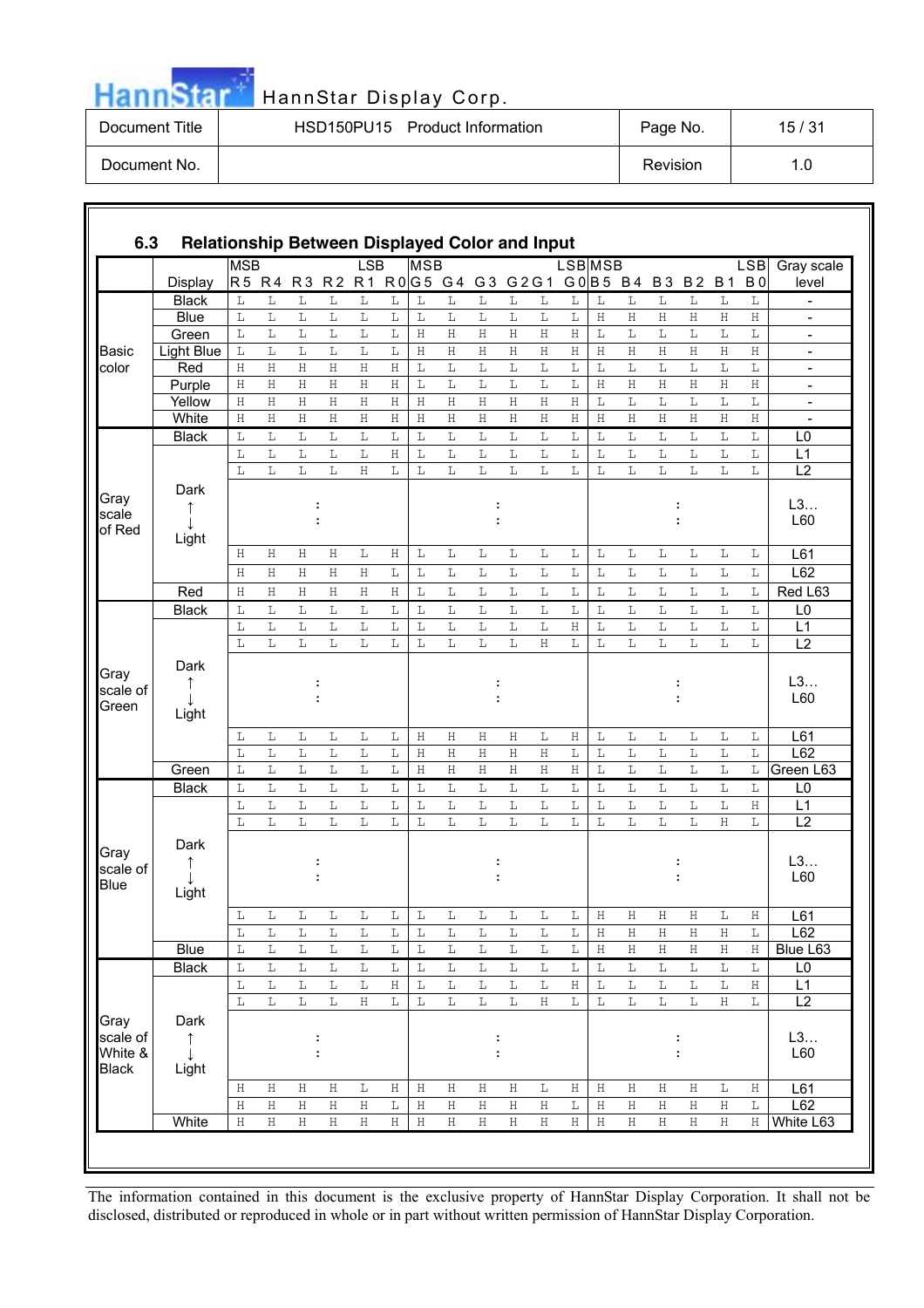| <b>HannStar</b> |  |  |
|-----------------|--|--|
|                 |  |  |
|                 |  |  |
|                 |  |  |

| Document Title | HSD150PU15 Product Information | Page No. | 15/31 |
|----------------|--------------------------------|----------|-------|
| Document No.   |                                | Revision |       |

| 6.3                     | Relationship Between Displayed Color and Input |                |                  |                    |                         |                         |                  |              |             |                         |             |              |                  |              |                         |                         |                        |                         |                         |                          |
|-------------------------|------------------------------------------------|----------------|------------------|--------------------|-------------------------|-------------------------|------------------|--------------|-------------|-------------------------|-------------|--------------|------------------|--------------|-------------------------|-------------------------|------------------------|-------------------------|-------------------------|--------------------------|
|                         |                                                | <b>MSB</b>     |                  |                    |                         | <b>LSB</b>              |                  | <b>MSB</b>   |             |                         |             |              | <b>LSB</b> MSB   |              |                         |                         |                        |                         | <b>LSB</b>              | Gray scale               |
|                         | Display                                        | R <sub>5</sub> | R <sub>4</sub>   | R <sub>3</sub>     | R <sub>2</sub>          | R <sub>1</sub>          |                  |              |             | R0G5 G4 G3 G2G1         |             |              | G0 B5 B4         |              |                         | <b>B3</b>               | <b>B2</b>              | <b>B1</b>               | B <sub>0</sub>          | level                    |
|                         | <b>Black</b>                                   | L              | L                | $\mathbb L$        | L                       | $\mathbb L$             | $\mathbb L$      | L            | $\mathbb L$ | $\mathbb L$             | $\mathbb L$ | $\mathbb L$  | L                | L            | $\mathbb L$             | L                       | L                      | $\mathbb L$             | L                       | $\overline{\phantom{a}}$ |
|                         | Blue                                           | L              | L                | L                  | L                       | L                       | $\mathbb L$      | L            | L           | L                       | L           | L            | L                | $\,$ H       | $\,$ H                  | Η                       | Η                      | Η                       | Η                       | $\blacksquare$           |
|                         | Green                                          | L              | L<br>$\mathbb L$ | L<br>$\mathbb L$   | L<br>$\mathbb L$        | L<br>$\mathbb L$        | L<br>$\mathbb L$ | H            | $\rm H$     | Η                       | Η           | Η            | $\rm H$          | $\mathbb L$  | $\mathbb L$<br>$\rm H$  | $\mathbb L$<br>H        | $\mathbb L$<br>$\rm H$ | $\mathbb L$<br>$\rm H$  | $\mathbb L$<br>$\rm H$  | $\overline{\phantom{a}}$ |
| <b>Basic</b>            | Light Blue                                     | L              |                  |                    |                         |                         |                  | H            | $\rm H$     | Η                       | Η           | Η            | Η                | $\rm H$      |                         |                         |                        |                         |                         | $\blacksquare$           |
| color                   | Red                                            | H              | Η                | Η                  | Η                       | H                       | Η                | L            | L           | L                       | L           | $\mathbb L$  | L<br>$\mathbb L$ | L            | L                       | L                       | $\mathbb L$            | $\mathbb L$             | $\mathbb L$             | $\overline{\phantom{0}}$ |
|                         | Purple                                         | $\mathbf H$    | $\overline{H}$   | $\mathbf H$        | $\overline{\mathrm{H}}$ | $\overline{\mathrm{H}}$ | $\rm H$          | L            | L           | L                       | L           | $\mathbf L$  |                  | Η            | $\rm H$                 | $\overline{\mathrm{H}}$ | $\rm H$                | $\mathbf H$             | $\rm H$                 | $\overline{\phantom{a}}$ |
|                         | Yellow                                         | H              | Η                | $\rm H$            | $\rm H$                 | $\rm H$                 | Η                | H            | $\rm H$     | Η                       | Η           | Η            | $\mathbf H$      | $\mathbb L$  | $\mathbb L$             | L                       | $\mathbb L$            | $\mathbb L$             | $\mathbb L$             | $\overline{\phantom{a}}$ |
|                         | White                                          | $\,$ H         | Η                | $\rm H$            | $\rm H$                 | $\rm H$                 | $\rm H$          | H            | $\rm H$     | Η                       | Η           | Η            | $\rm H$          | $\,$ H       | $\rm H$                 | $\rm H$                 | $\rm H$                | $\rm H$                 | $\rm H$                 | $\overline{\phantom{0}}$ |
|                         | <b>Black</b>                                   | L              | L                | L                  | L                       | L                       | L                | L            | L           | L                       | L           | L            | L                | L            | L                       | L                       | L                      | $\mathbb L$             | L                       | L <sub>0</sub>           |
|                         |                                                | L              | $\mathbb L$      | L                  | L                       | L                       | Η                | L            | L           | L                       | L           | L            | L                | $\mathbb L$  | $\mathbb L$             | L                       | $\mathbb L$            | $\mathbb L$             | L                       | L1                       |
|                         |                                                | L              | L                | L                  | L                       | $\rm H$                 | L                | L            | L           | L                       | L           | $\mathbb L$  | L                | L            | $\mathbb L$             | L                       | L                      | L                       | $\mathbb L$             | $\overline{L2}$          |
| Gray                    | Dark                                           |                |                  |                    |                         |                         |                  |              |             |                         |             |              |                  |              |                         |                         |                        |                         |                         |                          |
| scale                   | ↑                                              |                |                  |                    |                         |                         |                  |              |             |                         |             |              |                  |              |                         |                         |                        |                         |                         | L3                       |
| of Red                  |                                                |                |                  |                    |                         |                         |                  |              |             |                         |             |              |                  |              |                         |                         |                        |                         |                         | L60                      |
|                         | Light                                          |                |                  |                    |                         |                         |                  |              |             |                         |             |              |                  |              |                         |                         |                        |                         |                         |                          |
|                         |                                                | Η              | Н                | $\rm H$            | Η                       | L                       | Η                | L            | L           | L                       | L           | L            | L                | L            | L                       | L                       | L                      | L                       | L                       | L61                      |
|                         |                                                | H              | Н                | Η                  | Η                       | Η                       | L                | L            | L           | L                       | L           | L            | L                | $\mathbb L$  | $\mathbb L$             | L                       | $\mathbb L$            | $\mathbb L$             | L                       | L62                      |
|                         | Red                                            | H              | Η                | $\rm H$            | $\rm H$                 | $\rm H$                 | $\rm H$          | L            | $\mathbb L$ | L                       | $\mathbb L$ | $\mathbb L$  | $\mathbb L$      | L            | $\mathbb L$             | $\mathbb L$             | $\mathbb L$            | $\mathbb L$             | $\mathbb L$             | Red L63                  |
|                         | <b>Black</b>                                   | L              | L                | L                  | L                       | $\mathbb L$             | L                | L            | L           | L                       | L           | L            | L                | L            | L                       | L                       | L                      | $\mathbb L$             | L                       | L0                       |
|                         |                                                | L              | L                | L                  | L                       | L                       | L                | $\mathbb L$  | L           | L                       | L           | $\mathbf L$  | $\rm H$          | $\mathbb L$  | $\mathbb L$             | $\mathbb L$             | $\mathbb L$            | $\overline{\mathbb{L}}$ | $\mathbb L$             | L1                       |
|                         |                                                | L              | L                | L                  | L                       | L                       | L                | L            | L           | L                       | L           | H            | L                | L            | L                       | L                       | L                      | L                       | L                       | $\overline{L2}$          |
|                         | Dark                                           |                |                  |                    |                         |                         |                  |              |             |                         |             |              |                  |              |                         |                         |                        |                         |                         |                          |
| Gray                    |                                                |                |                  |                    |                         |                         |                  |              |             |                         |             |              |                  |              |                         |                         |                        |                         |                         | L3                       |
| scale of                |                                                |                |                  |                    |                         |                         |                  |              |             |                         |             |              |                  |              |                         |                         |                        |                         |                         | L60                      |
| Green                   | Light                                          |                |                  |                    |                         |                         |                  |              |             |                         |             |              |                  |              |                         |                         |                        |                         |                         |                          |
|                         |                                                |                |                  |                    |                         |                         |                  |              |             |                         |             |              |                  |              |                         |                         |                        |                         |                         |                          |
|                         |                                                | L              | L                | L                  | $\mathbb L$             | $\mathbb L$             | L                | H            | Η           | Η                       | Η           | L            | $\rm H$          | L            | $\mathbb L$             | L                       | $\mathbb L$            | L                       | L                       | L61                      |
|                         |                                                | L              | L                | L                  | L                       | $\mathbb L$             | L                | H            | Η           | Η                       | H           | Η            | $\mathbb L$      | $\mathbb L$  | $\mathbb L$             | $\mathbb L$             | $\mathbb L$            | $\mathbb L$             | $\mathbb L$             | L62                      |
|                         | Green                                          | L              | L                | L                  | L                       | $\bar{L}$               | L                | $\mathbf H$  | H           | Η                       | H           | Η            | $\mathbf H$      | $\mathbb L$  | $\mathbb L$             | L                       | $\mathbb L$            | $\mathbb L$             | L                       | Green L63                |
|                         | <b>Black</b>                                   | L              | L                | L                  | L                       | L                       | L                | L            | L           | L                       | L           | L            | L                | L            | L                       | L                       | L                      | L                       | L                       | L <sub>0</sub>           |
|                         |                                                | L              | $\mathbb L$      | L                  | L                       | $\mathbb L$             | $\mathbb L$      | $\mathbb L$  | L           | $\mathbb L$             | $\mathbb L$ | $\mathbf L$  | L                | $\mathbb L$  | $\mathbb L$             | $\mathbb L$             | $\mathbb L$            | $\mathbb L$             | $\rm H$                 | L1                       |
|                         |                                                | L              | L                | L                  | L                       | L                       | L                | L            | L           | L                       | L           | L            | L                | $\mathbb L$  | L                       | L                       | L                      | Η                       | L                       | L2                       |
|                         | Dark                                           |                |                  |                    |                         |                         |                  |              |             |                         |             |              |                  |              |                         |                         |                        |                         |                         |                          |
| Gray                    | $\uparrow$                                     |                |                  |                    |                         |                         |                  |              |             |                         |             |              |                  |              |                         |                         |                        |                         |                         | L3                       |
| scale of<br><b>Blue</b> |                                                |                |                  |                    |                         |                         |                  |              |             |                         |             |              |                  |              |                         |                         |                        |                         |                         | L60                      |
|                         | Light                                          |                |                  |                    |                         |                         |                  |              |             |                         |             |              |                  |              |                         |                         |                        |                         |                         |                          |
|                         |                                                | L              | L                | L                  | L                       | L                       | L                | L            | L           | L                       | L           | L            | L                | Η            | Η                       | Η                       | Η                      | L                       | Η                       | L61                      |
|                         |                                                | L              | L                | L                  | L                       | L                       | L                | $\mathbf L$  | L           | L                       | L           | L            | L                | Η            | Η                       | Η                       | Η                      | Η                       | L                       | L62                      |
|                         | <b>Blue</b>                                    | $\mathbb L$    | $\mathbb L$      | $\mathbb L$        | $\mathbb L$             | $\mathbb L$             | $\mathbb L$      | $\mathbb L$  | $\mathbf L$ | $\mathbf L$             | $\mathbf L$ | $\mathbf L$  | $\mathbf L$      | $\, {\rm H}$ | $\rm H$                 | $\rm H$                 | $\rm H$                | $\rm H$                 | $\rm H$                 | Blue L63                 |
|                         | <b>Black</b>                                   | $\mathbb L$    | L                | $\mathbb L$        | L                       | L                       | L                | L            | L           | $\mathbb L$             | L           | $\mathbb L$  | L                | L            | $\mathbb L$             | L                       | L                      | $\mathbb L$             | $\mathbb L$             | L <sub>0</sub>           |
|                         |                                                | L              | $\mathbb L$      | $\mathbb L$        | $\mathbb L$             | $\mathbb L$             | $\rm H$          | L            | $\mathbb L$ | $\mathbb L$             | $\mathbb L$ | $\Gamma$     | $\rm H$          | $\mathbb L$  | $\overline{\mathbb{L}}$ | $\mathbb L$             | $\mathbb L$            | $\mathbb L$             | $\rm H$                 | L1                       |
|                         |                                                | L              | L                | $\mathbb L$        | $\mathbb L$             | $\rm H$                 | L                | L            | $\mathbf L$ | $\overline{\mathbb{L}}$ | $\mathbf L$ | $\rm H$      | $\mathbb L$      | $\mathbb L$  | $\mathbb L$             | $\mathbb L$             | $\mathbb L$            | $\overline{\rm H}$      | $\overline{\mathbb{L}}$ | L2                       |
|                         |                                                |                |                  |                    |                         |                         |                  |              |             |                         |             |              |                  |              |                         |                         |                        |                         |                         |                          |
| Gray                    | Dark                                           |                |                  |                    |                         |                         |                  |              |             |                         |             |              |                  |              |                         |                         |                        |                         |                         |                          |
| scale of                | $\uparrow$                                     |                |                  |                    | $\ddot{\cdot}$          |                         |                  |              |             | :                       |             |              |                  |              |                         |                         |                        |                         |                         | L3                       |
| White &                 | $\perp$                                        |                |                  |                    |                         |                         |                  |              |             |                         |             |              |                  |              |                         |                         |                        |                         |                         | L60                      |
| <b>Black</b>            | Light                                          |                |                  |                    |                         |                         |                  |              |             |                         |             |              |                  |              |                         |                         |                        |                         |                         |                          |
|                         |                                                | Η              | Η                | H                  | $\,$ H                  | $\mathbb L$             | Η                | H            | Η           | Η                       | Η           | L            | Η                | Η            | $\,$ H                  | Η                       | $\,$ H                 | L                       | Η                       | L61                      |
|                         |                                                | $\rm H$        | $\rm H$          | $\rm H$            | $\overline{\rm H}$      | $\overline{\rm H}$      | $\mathbb L$      | H            | $\rm H$     | $\rm H$                 | $\rm H$     | $\, {\rm H}$ | $\mathbb L$      | $\, {\rm H}$ | $\rm H$                 | $\, {\rm H}$            | $\rm H$                | $\rm H$                 | $\mathbb L$             | L62                      |
|                         | White                                          | $\rm H$        | $\rm H$          | $\overline{\rm H}$ | $\rm H$                 | $\rm H$                 | $\rm H$          | $\, {\rm H}$ | $\rm H$     | $\rm H$                 | $\rm H$     | $\, {\rm H}$ | $\rm H$          | $\, {\rm H}$ | $\rm H$                 | $\rm H$                 | $\rm H$                | $\rm H$                 | $\rm H$                 | White L63                |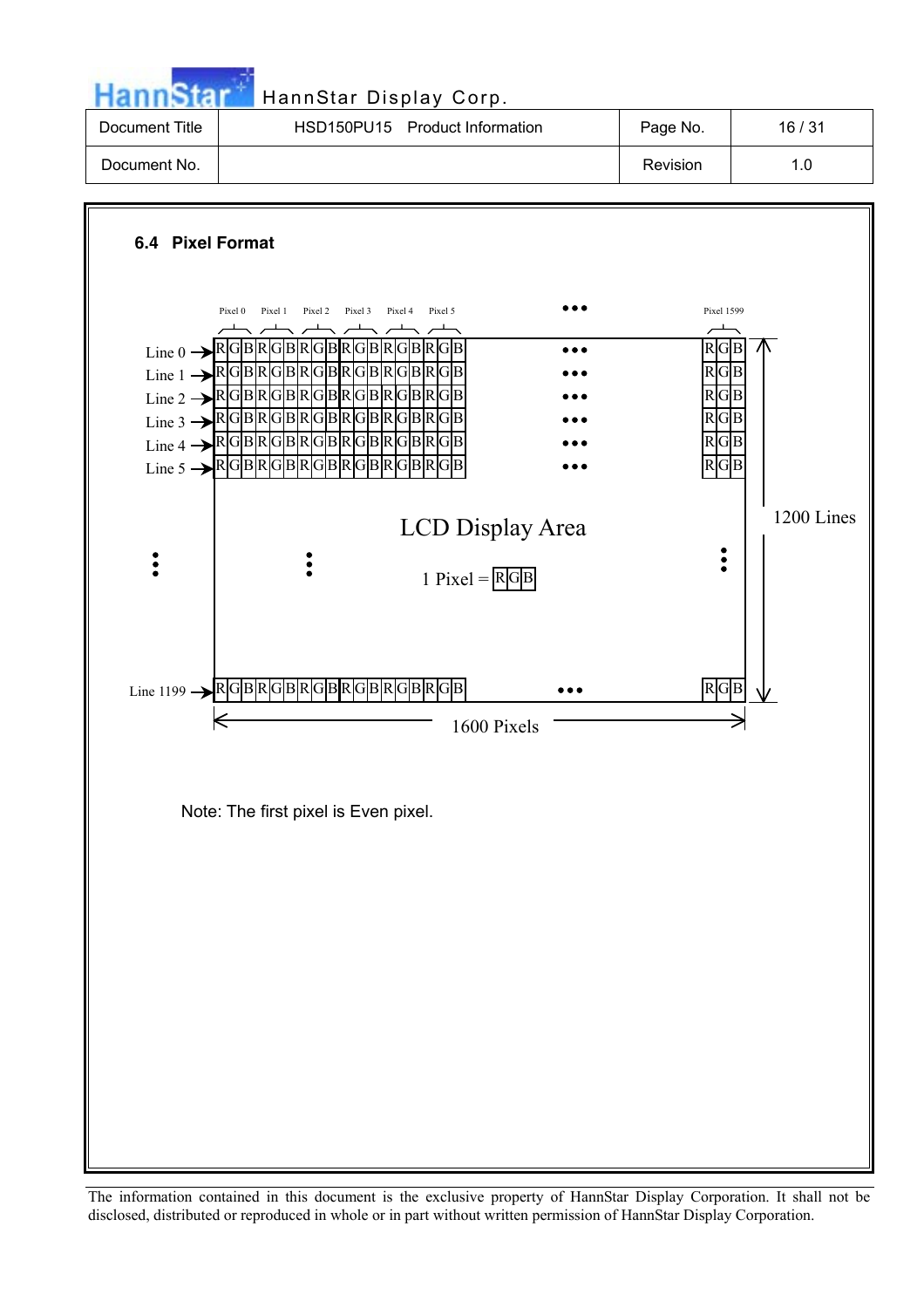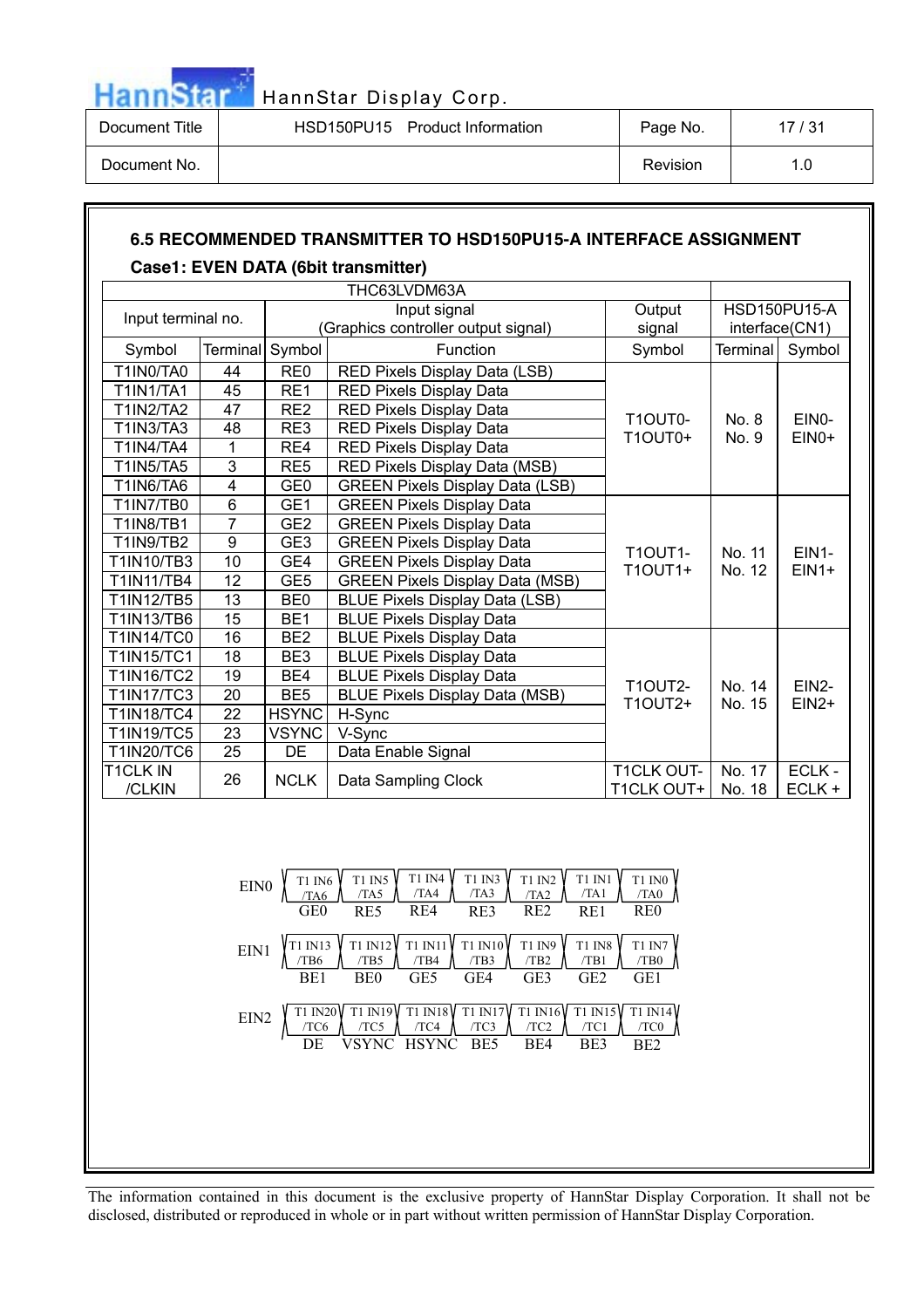

| Document Title | HSD150PU15<br><b>Product Information</b> | Page No. | 17/31 |
|----------------|------------------------------------------|----------|-------|
| Document No.   |                                          | Revision |       |

# **6.5 RECOMMENDED TRANSMITTER TO HSD150PU15-A INTERFACE ASSIGNMENT Case1: EVEN DATA (6bit transmitter)**

| THC63LVDM63A       |                |                 |                                        |                                 |                  |                         |
|--------------------|----------------|-----------------|----------------------------------------|---------------------------------|------------------|-------------------------|
| Input terminal no. |                |                 | Input signal                           | Output                          |                  | <b>HSD150PU15-A</b>     |
|                    |                |                 | (Graphics controller output signal)    | signal                          |                  | interface(CN1)          |
| Symbol             | Terminal       | Symbol          | Function                               | Symbol                          | <b>Terminal</b>  | Symbol                  |
| T1IN0/TA0          | 44             | RE <sub>0</sub> | RED Pixels Display Data (LSB)          |                                 |                  |                         |
| <b>T1IN1/TA1</b>   | 45             | RE1             | RED Pixels Display Data                |                                 |                  |                         |
| <b>T1IN2/TA2</b>   | 47             | RE <sub>2</sub> | <b>RED Pixels Display Data</b>         | T1OUT0-                         | No. 8            | EIN <sub>0</sub> -      |
| T1IN3/TA3          | 48             | RE3             | RED Pixels Display Data                | <b>T1OUT0+</b>                  | No. 9            | $EINO+$                 |
| <b>T1IN4/TA4</b>   | 1              | RE4             | RED Pixels Display Data                |                                 |                  |                         |
| <b>T1IN5/TA5</b>   | $\overline{3}$ | RE <sub>5</sub> | RED Pixels Display Data (MSB)          |                                 |                  |                         |
| T1IN6/TA6          | 4              | GE <sub>0</sub> | <b>GREEN Pixels Display Data (LSB)</b> |                                 |                  |                         |
| <b>T1IN7/TB0</b>   | $\overline{6}$ | GE1             | <b>GREEN Pixels Display Data</b>       |                                 |                  | <b>EIN1-</b><br>$EIN1+$ |
| <b>T1IN8/TB1</b>   | $\overline{7}$ | GE <sub>2</sub> | <b>GREEN Pixels Display Data</b>       |                                 |                  |                         |
| <b>T1IN9/TB2</b>   | 9              | GE <sub>3</sub> | <b>GREEN Pixels Display Data</b>       | <b>T1OUT1-</b>                  | No. 11           |                         |
| T1IN10/TB3         | 10             | GE4             | <b>GREEN Pixels Display Data</b>       | T10UT1+                         | No. 12           |                         |
| <b>T1IN11/TB4</b>  | 12             | GE <sub>5</sub> | <b>GREEN Pixels Display Data (MSB)</b> |                                 |                  |                         |
| T1IN12/TB5         | 13             | BE <sub>0</sub> | <b>BLUE Pixels Display Data (LSB)</b>  |                                 |                  |                         |
| T1IN13/TB6         | 15             | BE <sub>1</sub> | <b>BLUE Pixels Display Data</b>        |                                 |                  |                         |
| <b>T1IN14/TC0</b>  | 16             | BE <sub>2</sub> | <b>BLUE Pixels Display Data</b>        |                                 |                  |                         |
| <b>T1IN15/TC1</b>  | 18             | BE <sub>3</sub> | <b>BLUE Pixels Display Data</b>        |                                 |                  |                         |
| <b>T1IN16/TC2</b>  | 19             | BE4             | <b>BLUE Pixels Display Data</b>        | <b>T1OUT2-</b>                  | No. 14           | EIN <sub>2</sub> -      |
| <b>T1IN17/TC3</b>  | 20             | BE <sub>5</sub> | <b>BLUE Pixels Display Data (MSB)</b>  | T10UT2+                         | No. 15           | $EIN2+$                 |
| <b>T1IN18/TC4</b>  | 22             | <b>HSYNC</b>    | H-Sync                                 |                                 |                  |                         |
| <b>T1IN19/TC5</b>  | 23             | <b>VSYNC</b>    | V-Sync                                 |                                 |                  |                         |
| <b>T1IN20/TC6</b>  | 25             | DE              | Data Enable Signal                     |                                 |                  |                         |
| T1CLK IN<br>/CLKIN | 26             | <b>NCLK</b>     | Data Sampling Clock                    | <b>T1CLK OUT-</b><br>T1CLK OUT+ | No. 17<br>No. 18 | ECLK -<br>ECLK +        |

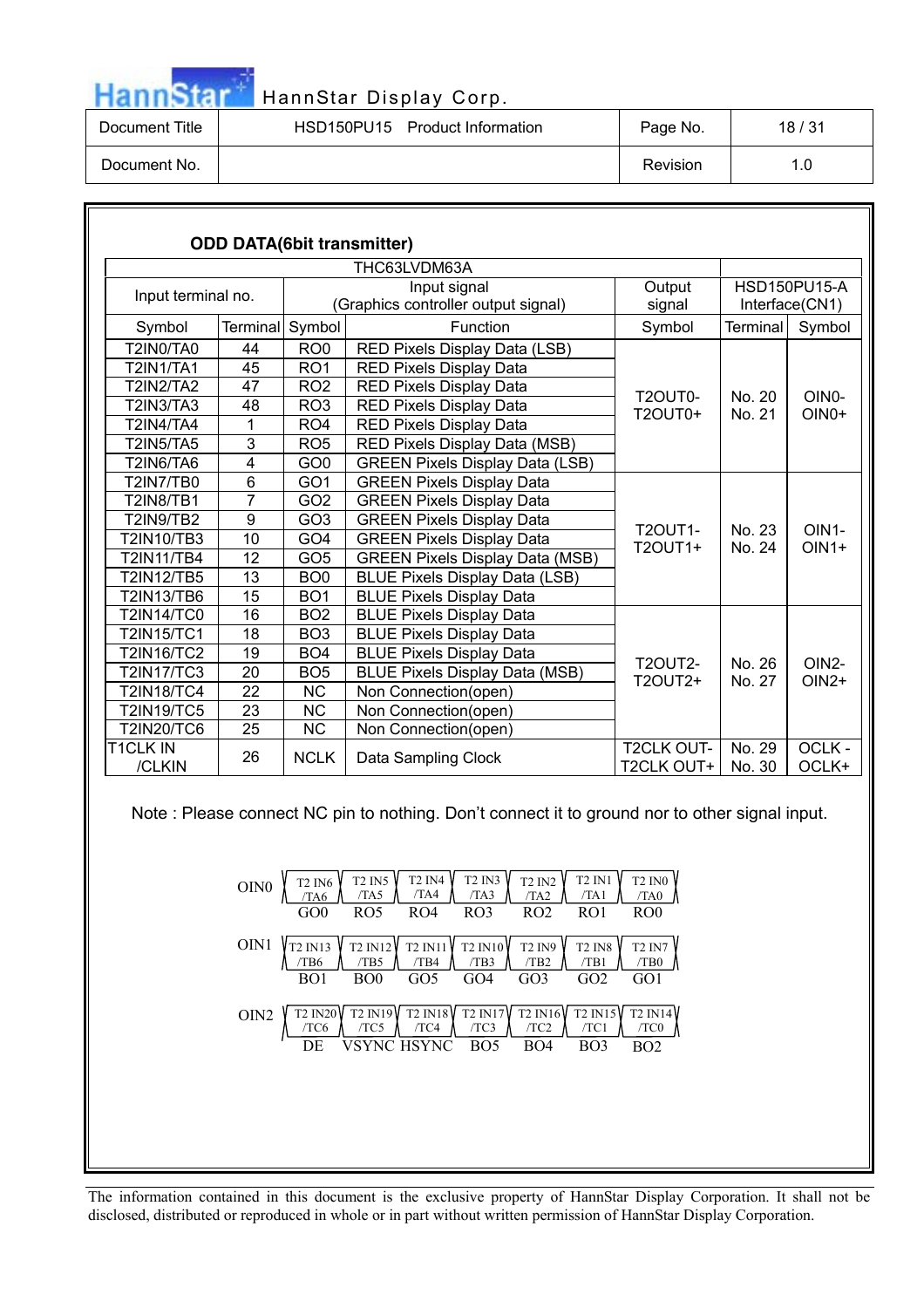| <b>HannStar</b> |  |  |
|-----------------|--|--|

| Document Title | HSD150PU15 Product Information | Page No. | 18 / 31 |
|----------------|--------------------------------|----------|---------|
| Document No.   |                                | Revision | 1.0     |

|                                 |                  |                 | <b>ODD DATA(6bit transmitter)</b>      |                                 |                  |                               |
|---------------------------------|------------------|-----------------|----------------------------------------|---------------------------------|------------------|-------------------------------|
|                                 |                  |                 | THC63LVDM63A                           |                                 |                  |                               |
| Input terminal no.              | Output<br>signal |                 | <b>HSD150PU15-A</b><br>Interface(CN1)  |                                 |                  |                               |
| Symbol                          | <b>Terminal</b>  | Symbol          | Function                               | Symbol                          | Terminal         | Symbol                        |
| T2IN0/TA0                       | 44               | RO <sub>0</sub> | RED Pixels Display Data (LSB)          |                                 |                  |                               |
| <b>T2IN1/TA1</b>                | 45               | RO <sub>1</sub> | RED Pixels Display Data                |                                 |                  |                               |
| <b>T2IN2/TA2</b>                | 47               | RO <sub>2</sub> | RED Pixels Display Data                |                                 | No. 20           |                               |
| <b>T2IN3/TA3</b>                | 48               | RO <sub>3</sub> | <b>RED Pixels Display Data</b>         | T2OUT0-<br><b>T2OUT0+</b>       |                  | OIN <sub>0</sub> -<br>$OINO+$ |
| <b>T2IN4/TA4</b>                | 1                | RO <sub>4</sub> | <b>RED Pixels Display Data</b>         |                                 | No. 21           |                               |
| <b>T2IN5/TA5</b>                | 3                | RO <sub>5</sub> | RED Pixels Display Data (MSB)          |                                 |                  |                               |
| <b>T2IN6/TA6</b>                | $\overline{4}$   | GO <sub>0</sub> | <b>GREEN Pixels Display Data (LSB)</b> |                                 |                  |                               |
| <b>T2IN7/TB0</b>                | $6\phantom{a}$   | GO <sub>1</sub> | <b>GREEN Pixels Display Data</b>       |                                 | No. 23<br>No. 24 | OIN <sub>1</sub> -<br>$OIN1+$ |
| <b>T2IN8/TB1</b>                | $\overline{7}$   | GO <sub>2</sub> | <b>GREEN Pixels Display Data</b>       | <b>T2OUT1-</b><br>T2OUT1+       |                  |                               |
| <b>T2IN9/TB2</b>                | 9                | GO <sub>3</sub> | <b>GREEN Pixels Display Data</b>       |                                 |                  |                               |
| <b>T2IN10/TB3</b>               | 10               | GO <sub>4</sub> | <b>GREEN Pixels Display Data</b>       |                                 |                  |                               |
| <b>T2IN11/TB4</b>               | 12               | GO <sub>5</sub> | <b>GREEN Pixels Display Data (MSB)</b> |                                 |                  |                               |
| <b>T2IN12/TB5</b>               | 13               | BO <sub>0</sub> | <b>BLUE Pixels Display Data (LSB)</b>  |                                 |                  |                               |
| <b>T2IN13/TB6</b>               | 15               | BO <sub>1</sub> | <b>BLUE Pixels Display Data</b>        |                                 |                  |                               |
| <b>T2IN14/TC0</b>               | 16               | BO <sub>2</sub> | <b>BLUE Pixels Display Data</b>        |                                 |                  |                               |
| <b>T2IN15/TC1</b>               | 18               | BO <sub>3</sub> | <b>BLUE Pixels Display Data</b>        |                                 |                  |                               |
| <b>T2IN16/TC2</b>               | 19               | BO <sub>4</sub> | <b>BLUE Pixels Display Data</b>        | <b>T2OUT2-</b>                  | No. 26           | $OIN2-$                       |
| <b>T2IN17/TC3</b>               | 20               | BO <sub>5</sub> | <b>BLUE Pixels Display Data (MSB)</b>  | T2OUT2+                         | No. 27           | $OIN2+$                       |
| <b>T2IN18/TC4</b>               | 22               | <b>NC</b>       | Non Connection(open)                   |                                 |                  |                               |
| <b>T2IN19/TC5</b>               | 23               | <b>NC</b>       | Non Connection(open)                   |                                 |                  |                               |
| <b>T2IN20/TC6</b>               | 25               | <b>NC</b>       | Non Connection(open)                   |                                 |                  |                               |
| T <sub>1</sub> CLK IN<br>/CLKIN | 26               | <b>NCLK</b>     | Data Sampling Clock                    | <b>T2CLK OUT-</b><br>T2CLK OUT+ | No. 29<br>No. 30 | OCLK-<br>OCLK+                |

Note : Please connect NC pin to nothing. Don't connect it to ground nor to other signal input.

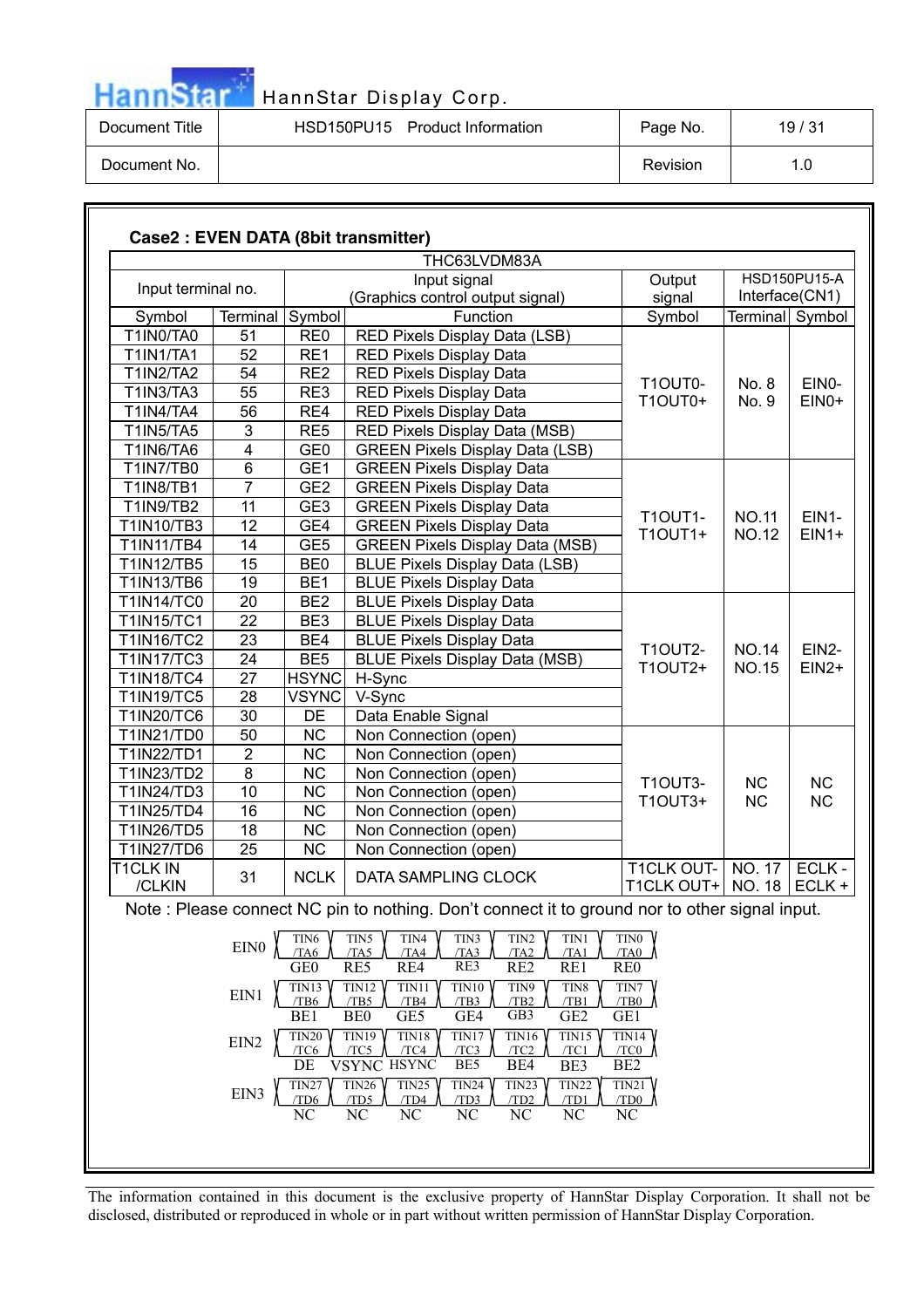| <b>HannStar</b> |  |  |
|-----------------|--|--|

| Document Title | HSD150PU15 Product Information | Page No. | 19/31 |
|----------------|--------------------------------|----------|-------|
| Document No.   |                                | Revision | 1.0   |

| Case2 : EVEN DATA (8bit transmitter) |                              |                                |                                                                                                                             |                                          |                              |                               |  |  |
|--------------------------------------|------------------------------|--------------------------------|-----------------------------------------------------------------------------------------------------------------------------|------------------------------------------|------------------------------|-------------------------------|--|--|
|                                      |                              |                                | THC63LVDM83A                                                                                                                |                                          |                              |                               |  |  |
|                                      |                              |                                | Input signal                                                                                                                | Output                                   |                              | <b>HSD150PU15-A</b>           |  |  |
| Input terminal no.                   |                              |                                | (Graphics control output signal)                                                                                            | signal                                   | Interface(CN1)               |                               |  |  |
| Symbol                               | Terminal                     | Symbol                         | Function                                                                                                                    | Symbol                                   | Terminal Symbol              |                               |  |  |
| T1IN0/TA0                            | 51                           | RE <sub>0</sub>                | RED Pixels Display Data (LSB)                                                                                               |                                          |                              |                               |  |  |
| <b>T1IN1/TA1</b>                     | 52                           | RE1                            | RED Pixels Display Data                                                                                                     |                                          |                              |                               |  |  |
| <b>T1IN2/TA2</b>                     | 54                           | RE <sub>2</sub>                | <b>RED Pixels Display Data</b>                                                                                              | T1OUT0-                                  | No. 8                        | EIN0-                         |  |  |
| $\overline{T}$ 1IN3/TA3              | 55                           | RE3                            | RED Pixels Display Data                                                                                                     | <b>T1OUT0+</b>                           | No. 9                        | EIN0+                         |  |  |
| <b>T1IN4/TA4</b>                     | 56                           | RE4                            | <b>RED Pixels Display Data</b>                                                                                              |                                          |                              |                               |  |  |
| <b>T1IN5/TA5</b>                     | 3                            | RE <sub>5</sub>                | RED Pixels Display Data (MSB)                                                                                               |                                          |                              |                               |  |  |
| T1IN6/TA6                            | $\overline{\mathbf{4}}$      | GE <sub>0</sub>                | <b>GREEN Pixels Display Data (LSB)</b>                                                                                      |                                          |                              |                               |  |  |
| T1IN7/TB0                            | 6                            | GE1                            | <b>GREEN Pixels Display Data</b>                                                                                            |                                          |                              |                               |  |  |
| <b>T1IN8/TB1</b>                     | $\overline{7}$               | GE <sub>2</sub>                | <b>GREEN Pixels Display Data</b>                                                                                            |                                          |                              |                               |  |  |
| T1IN9/TB2                            | 11                           | GE <sub>3</sub>                | <b>GREEN Pixels Display Data</b>                                                                                            |                                          |                              | EIN1-<br>$EIN1+$              |  |  |
| T1IN10/TB3                           | 12                           | GE4                            | <b>GREEN Pixels Display Data</b>                                                                                            | <b>T1OUT1-</b>                           | <b>NO.11</b>                 |                               |  |  |
| T1IN11/TB4                           | 14                           | GE <sub>5</sub>                | <b>GREEN Pixels Display Data (MSB)</b>                                                                                      | <b>T1OUT1+</b>                           | <b>NO.12</b>                 |                               |  |  |
| T1IN12/TB5                           | 15                           | BE <sub>0</sub>                | <b>BLUE Pixels Display Data (LSB)</b>                                                                                       |                                          |                              |                               |  |  |
| T1IN13/TB6                           | 19                           | BE <sub>1</sub>                | <b>BLUE Pixels Display Data</b>                                                                                             |                                          |                              |                               |  |  |
| <b>T1IN14/TC0</b>                    | 20                           | BE <sub>2</sub>                | <b>BLUE Pixels Display Data</b>                                                                                             |                                          |                              |                               |  |  |
| <b>T1IN15/TC1</b>                    | 22                           | BE3                            | <b>BLUE Pixels Display Data</b>                                                                                             |                                          |                              |                               |  |  |
| <b>T1IN16/TC2</b>                    | 23                           | BE4                            | <b>BLUE Pixels Display Data</b>                                                                                             |                                          | <b>NO.14</b><br><b>NO.15</b> | EIN <sub>2</sub> -<br>$EIN2+$ |  |  |
| <b>T1IN17/TC3</b>                    | 24                           | BE <sub>5</sub>                | <b>BLUE Pixels Display Data (MSB)</b>                                                                                       | <b>T1OUT2-</b>                           |                              |                               |  |  |
| <b>T1IN18/TC4</b>                    | 27                           | <b>HSYNC</b>                   | H-Sync                                                                                                                      | T1OUT2+                                  |                              |                               |  |  |
| <b>T1IN19/TC5</b>                    | 28                           | <b>VSYNC</b>                   | V-Sync                                                                                                                      |                                          |                              |                               |  |  |
| T1IN20/TC6                           | 30                           | DE                             | Data Enable Signal                                                                                                          |                                          |                              |                               |  |  |
| T1IN21/TD0                           | 50                           | <b>NC</b>                      | Non Connection (open)                                                                                                       |                                          |                              |                               |  |  |
| T1IN22/TD1                           | $\overline{2}$               | <b>NC</b>                      | Non Connection (open)                                                                                                       |                                          |                              |                               |  |  |
| T1IN23/TD2                           | 8                            | <b>NC</b>                      | Non Connection (open)                                                                                                       |                                          |                              |                               |  |  |
| T1IN24/TD3                           | 10                           | <b>NC</b>                      | Non Connection (open)                                                                                                       | <b>T1OUT3-</b>                           | <b>NC</b>                    | <b>NC</b>                     |  |  |
| T1IN25/TD4                           | 16                           | <b>NC</b>                      | Non Connection (open)                                                                                                       | T1OUT3+                                  | <b>NC</b>                    | <b>NC</b>                     |  |  |
| T1IN26/TD5                           | 18                           | <b>NC</b>                      | Non Connection (open)                                                                                                       |                                          |                              |                               |  |  |
| T1IN27/TD6                           | 25                           | <b>NC</b>                      | Non Connection (open)                                                                                                       |                                          |                              |                               |  |  |
| <b>T1CLK IN</b>                      |                              |                                |                                                                                                                             | T1CLK OUT-                               | NO. 17                       | ECLK -                        |  |  |
| /CLKIN                               | 31                           | <b>NCLK</b>                    | DATA SAMPLING CLOCK                                                                                                         | T1CLK OUT+ $\vert$ NO. 18 $\vert$ ECLK + |                              |                               |  |  |
|                                      |                              |                                | Note: Please connect NC pin to nothing. Don't connect it to ground nor to other signal input.                               |                                          |                              |                               |  |  |
|                                      | $\rm EIN0$                   | TIN <sub>6</sub><br>/TA6       | TIN5<br>TIN3<br>TIN <sub>2</sub><br>TIN4<br>TIN1<br>/TA5<br>/TA3<br>/TA2<br>/TA4<br>/TA1                                    | TIN <sub>0</sub><br>/TA0                 |                              |                               |  |  |
|                                      |                              | GE <sub>0</sub><br>TIN13       | RE3<br>RE5<br>RE4<br>RE <sub>2</sub><br>RE1<br>TIN12<br><b>TIN10</b><br>TIN11<br>TIN9<br>TIN8                               | RE <sub>0</sub><br>TIN7                  |                              |                               |  |  |
|                                      | $\mathop{\rm EIN1}\nolimits$ | /TB6<br>BE1                    | /TB2<br>/TB5<br>/TB4<br>/TB3<br>/TB1<br>BE <sub>0</sub><br>GE5<br>GB3<br>GE <sub>2</sub><br>GE4                             | /TB0<br>GE1                              |                              |                               |  |  |
|                                      | EIN <sub>2</sub>             | TIN20<br>TC <sub>6</sub><br>DE | TIN19<br>TIN16<br>TIN18<br>TIN17<br>TIN15<br>/TC4<br>/TC3<br>TC5<br>/TC2<br>/TC1<br>VSYNC HSYNC<br>BE5<br>BE4<br>BE3        | TIN14<br>/TC0<br>BE <sub>2</sub>         |                              |                               |  |  |
|                                      | EIN3                         | TIN27<br>TD <sub>6</sub><br>NC | TIN <sub>25</sub><br>TIN24<br>TIN23<br>TIN26<br>TIN22<br>/TD5<br>/TD4<br>/TD3<br>/TD2<br>/TD1<br>NC<br>NC<br>NC<br>NC<br>NC | TIN21<br>/TD0<br>NC                      |                              |                               |  |  |
|                                      |                              |                                |                                                                                                                             |                                          |                              |                               |  |  |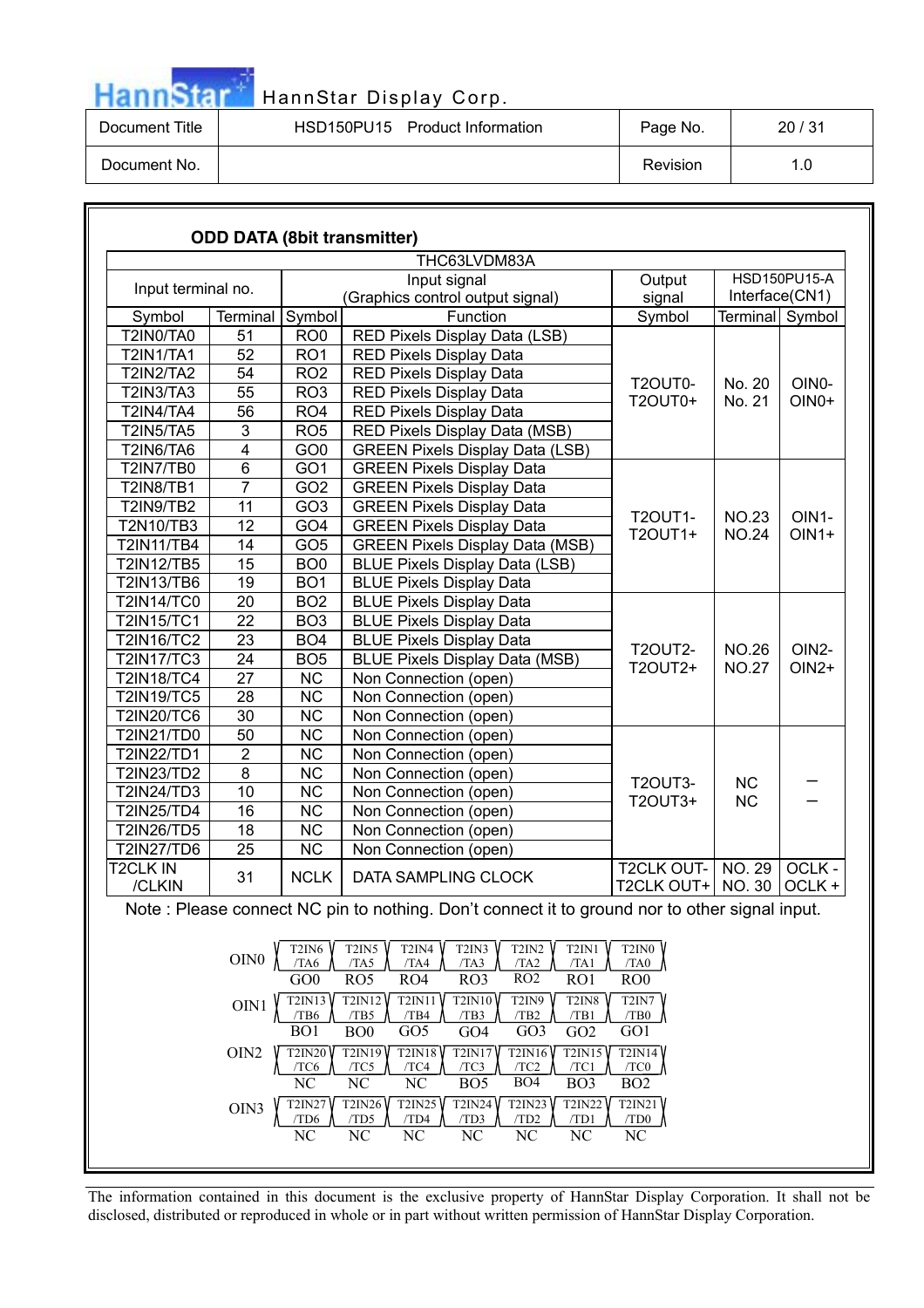

| Document Title | HSD150PU15<br>Product Information | Page No. | 20/31 |
|----------------|-----------------------------------|----------|-------|
| Document No.   |                                   | Revision | 1.0   |

|                    |                         |                                    | <b>ODD DATA (8bit transmitter)</b>                                                                                                                                                                                                             |                                               |                              |                  |
|--------------------|-------------------------|------------------------------------|------------------------------------------------------------------------------------------------------------------------------------------------------------------------------------------------------------------------------------------------|-----------------------------------------------|------------------------------|------------------|
|                    |                         |                                    | THC63LVDM83A                                                                                                                                                                                                                                   |                                               |                              |                  |
| Input terminal no. |                         |                                    | Input signal<br>(Graphics control output signal)                                                                                                                                                                                               | Output<br>signal                              | Interface(CN1)               | HSD150PU15-A     |
| Symbol             | Terminal                | Symbol                             | Function                                                                                                                                                                                                                                       | Symbol                                        | Terminal Symbol              |                  |
| T2IN0/TA0          | 51                      | RO <sub>0</sub>                    | RED Pixels Display Data (LSB)                                                                                                                                                                                                                  |                                               |                              |                  |
| <b>T2IN1/TA1</b>   | 52                      | RO <sub>1</sub>                    | RED Pixels Display Data                                                                                                                                                                                                                        |                                               |                              |                  |
| <b>T2IN2/TA2</b>   | 54                      | RO <sub>2</sub>                    | RED Pixels Display Data                                                                                                                                                                                                                        |                                               |                              |                  |
| T2IN3/TA3          | 55                      | RO <sub>3</sub>                    | <b>RED Pixels Display Data</b>                                                                                                                                                                                                                 | T2OUT0-                                       | No. 20                       | OIN <sub>0</sub> |
| <b>T2IN4/TA4</b>   | 56                      | RO <sub>4</sub>                    | <b>RED Pixels Display Data</b>                                                                                                                                                                                                                 | T2OUT0+                                       | No. 21                       | OIN0+            |
| <b>T2IN5/TA5</b>   | 3                       | RO <sub>5</sub>                    | RED Pixels Display Data (MSB)                                                                                                                                                                                                                  |                                               |                              |                  |
| <b>T2IN6/TA6</b>   | 4                       | GO <sub>0</sub>                    | <b>GREEN Pixels Display Data (LSB)</b>                                                                                                                                                                                                         |                                               |                              |                  |
| <b>T2IN7/TB0</b>   | 6                       | GO <sub>1</sub>                    | <b>GREEN Pixels Display Data</b>                                                                                                                                                                                                               |                                               |                              |                  |
| <b>T2IN8/TB1</b>   | $\overline{7}$          | GO <sub>2</sub>                    | <b>GREEN Pixels Display Data</b>                                                                                                                                                                                                               |                                               |                              |                  |
| T2IN9/TB2          | 11                      | GO <sub>3</sub>                    | <b>GREEN Pixels Display Data</b>                                                                                                                                                                                                               |                                               |                              |                  |
| T2N10/TB3          | 12                      | GO <sub>4</sub>                    | <b>GREEN Pixels Display Data</b>                                                                                                                                                                                                               | <b>T2OUT1-</b><br>T2OUT1+                     | <b>NO.23</b>                 | OIN1-            |
| <b>T2IN11/TB4</b>  | 14                      | GO <sub>5</sub>                    | <b>GREEN Pixels Display Data (MSB)</b>                                                                                                                                                                                                         |                                               | <b>NO.24</b>                 | $OIN1+$          |
| <b>T2IN12/TB5</b>  | 15                      | BO <sub>0</sub>                    | <b>BLUE Pixels Display Data (LSB)</b>                                                                                                                                                                                                          |                                               |                              |                  |
| <b>T2IN13/TB6</b>  | 19                      | BO <sub>1</sub>                    | <b>BLUE Pixels Display Data</b>                                                                                                                                                                                                                |                                               |                              |                  |
| <b>T2IN14/TC0</b>  | 20                      | BO <sub>2</sub>                    | <b>BLUE Pixels Display Data</b>                                                                                                                                                                                                                |                                               |                              |                  |
| <b>T2IN15/TC1</b>  | 22                      | BO <sub>3</sub>                    | <b>BLUE Pixels Display Data</b>                                                                                                                                                                                                                |                                               |                              |                  |
| <b>T2IN16/TC2</b>  | 23                      | BO <sub>4</sub>                    | <b>BLUE Pixels Display Data</b>                                                                                                                                                                                                                |                                               |                              |                  |
| <b>T2IN17/TC3</b>  | 24                      | BO <sub>5</sub>                    | <b>BLUE Pixels Display Data (MSB)</b>                                                                                                                                                                                                          | <b>T2OUT2-</b>                                | <b>NO.26</b><br><b>NO.27</b> | OIN2-            |
| <b>T2IN18/TC4</b>  | 27                      | <b>NC</b>                          | Non Connection (open)                                                                                                                                                                                                                          | T2OUT2+                                       |                              | $OIN2+$          |
| <b>T2IN19/TC5</b>  | 28                      | <b>NC</b>                          | Non Connection (open)                                                                                                                                                                                                                          |                                               |                              |                  |
| <b>T2IN20/TC6</b>  | 30                      | <b>NC</b>                          | Non Connection (open)                                                                                                                                                                                                                          |                                               |                              |                  |
| T2IN21/TD0         | 50                      | <b>NC</b>                          | Non Connection (open)                                                                                                                                                                                                                          |                                               |                              |                  |
| T2IN22/TD1         | $\overline{\mathbf{c}}$ | <b>NC</b>                          | Non Connection (open)                                                                                                                                                                                                                          |                                               |                              |                  |
| <b>T2IN23/TD2</b>  | $\overline{8}$          | <b>NC</b>                          | Non Connection (open)                                                                                                                                                                                                                          |                                               |                              |                  |
| <b>T2IN24/TD3</b>  | 10                      | <b>NC</b>                          | Non Connection (open)                                                                                                                                                                                                                          | <b>T2OUT3-</b>                                | <b>NC</b>                    |                  |
| <b>T2IN25/TD4</b>  | 16                      | <b>NC</b>                          | Non Connection (open)                                                                                                                                                                                                                          | T2OUT3+                                       | <b>NC</b>                    |                  |
| <b>T2IN26/TD5</b>  | 18                      | NC                                 | Non Connection (open)                                                                                                                                                                                                                          |                                               |                              |                  |
| <b>T2IN27/TD6</b>  | 25                      | <b>NC</b>                          | Non Connection (open)                                                                                                                                                                                                                          |                                               |                              |                  |
| T2CLK IN<br>/CLKIN | 31                      | <b>NCLK</b>                        | DATA SAMPLING CLOCK                                                                                                                                                                                                                            | <b>T2CLK OUT-</b><br><b>T2CLK OUT+ NO. 30</b> | <b>NO. 29</b>                | OCLK-<br>OCLK +  |
|                    |                         |                                    |                                                                                                                                                                                                                                                |                                               |                              |                  |
|                    |                         | T <sub>2</sub> IN <sub>6</sub>     | Note: Please connect NC pin to nothing. Don't connect it to ground nor to other signal input.<br>T2IN5<br>T <sub>2</sub> IN <sub>4</sub><br>T <sub>2</sub> IN <sub>3</sub><br>T <sub>2</sub> IN <sub>2</sub><br>T <sub>2</sub> IN <sub>1</sub> | T2IN0                                         |                              |                  |
|                    | OINO                    | /TA6<br>GO0                        | /TA5<br>/TA4<br>/TA2<br>/TA1<br>/TA3<br>RO <sub>5</sub><br>RO2<br>RO4<br>RO3<br>RO1                                                                                                                                                            | /TA0<br>RO <sub>0</sub>                       |                              |                  |
|                    | OIN1                    | T2IN13<br>/TB6<br>$\overline{BO1}$ | <b>T2IN12</b><br>T <sub>2</sub> IN <sub>9</sub><br><b>T2IN11</b><br><b>T2IN10</b><br>T <sub>2</sub> IN <sub>8</sub><br>/TB5<br>/TB4<br>/TB3<br>/TB2<br>/TB1<br>GO <sub>3</sub><br>B <sub>O</sub> O<br>GO <sub>5</sub><br>$GO4$<br>GO2          | T2IN7<br>/TB0<br>GO1                          |                              |                  |
|                    | $\rm OIN2$              | T2IN20<br>/TC6<br>NC               | <b>T2IN18</b><br>$\overline{\text{T2IN15}}$<br><b>T2IN19</b><br>T2IN16<br>T2IN17<br>/TC2<br>/TC5<br>/TC4<br>/TC3<br>/TC1<br>$\rm NC$<br>$\rm NC$<br>BO <sub>4</sub><br>BO <sub>5</sub><br>BO <sub>3</sub>                                      | T2IN14<br>/TC0<br>BO <sub>2</sub>             |                              |                  |
|                    | OIN3                    | T2IN27<br>/TD6<br>NC               | <b>T2IN26</b><br>T2IN23<br><b>T2IN25</b><br><b>T2IN24</b><br><b>T2IN22</b><br>/TD5<br>/TD3<br>/TD2<br>/TD1<br>/TD4<br>NC<br>NC<br>NC<br>NC<br>NC                                                                                               | T2IN21<br>/TD0<br>NC                          |                              |                  |
|                    |                         |                                    |                                                                                                                                                                                                                                                |                                               |                              |                  |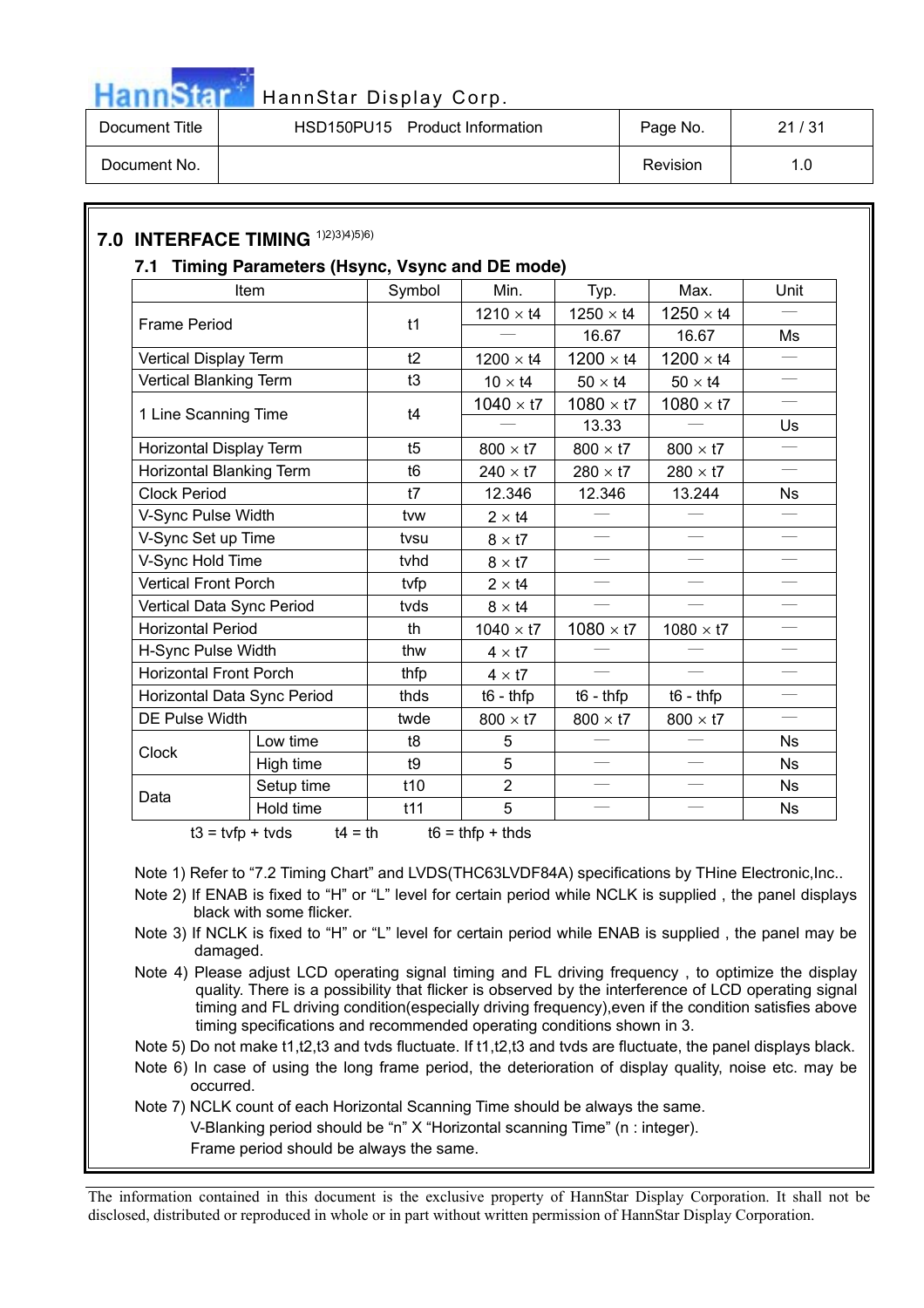

| Document Title | HSD150PU15 Product Information | Page No. | 21/31 |
|----------------|--------------------------------|----------|-------|
| Document No.   |                                | Revision | 1.0   |

# **7.0 INTERFACE TIMING** 1)2)3)4)5)6)

#### **7.1 Timing Parameters (Hsync, Vsync and DE mode)**

|                               | Item       | Symbol          | Min.             | Typ.              | Max.                     | Unit                     |
|-------------------------------|------------|-----------------|------------------|-------------------|--------------------------|--------------------------|
| <b>Frame Period</b>           |            | t1              | $1210 \times t4$ | $1250 \times t4$  | $1250 \times t4$         |                          |
|                               |            |                 |                  | 16.67             | 16.67                    | Ms                       |
| Vertical Display Term         |            | t2              | $1200 \times t4$ | $1200 \times t4$  | $1200 \times t4$         | $\qquad \qquad$          |
| Vertical Blanking Term        |            | t3              | $10 \times t4$   | $50 \times t4$    | $50 \times t4$           | $\equiv$                 |
| 1 Line Scanning Time          |            | t4              | $1040 \times t7$ | $1080 \times t7$  | $1080 \times t7$         | $\qquad \qquad$          |
|                               |            |                 |                  | 13.33             |                          | Us                       |
| Horizontal Display Term       |            | t5              | $800 \times t7$  | $800 \times t7$   | $800 \times t7$          |                          |
| Horizontal Blanking Term      |            | t <sub>6</sub>  | $240 \times t7$  | $280 \times t7$   | $280 \times t7$          | $\frac{1}{1}$            |
| <b>Clock Period</b>           |            | t7              | 12.346           | 12.346            | 13.244                   | <b>Ns</b>                |
| V-Sync Pulse Width            |            | tvw             | $2 \times 14$    |                   |                          |                          |
| V-Sync Set up Time            |            | tvsu            | $8 \times 17$    |                   |                          | $\equiv$                 |
| V-Sync Hold Time              |            | tvhd            | $8 \times 17$    | $\qquad \qquad -$ | $\overline{\phantom{m}}$ | $\qquad \qquad$          |
| <b>Vertical Front Porch</b>   |            | tvfp            | $2 \times 14$    | $\equiv$          | $\equiv$                 | $\equiv$                 |
| Vertical Data Sync Period     |            | tvds            | $8 \times 14$    |                   |                          |                          |
| <b>Horizontal Period</b>      |            | th              | $1040 \times t7$ | $1080 \times t7$  | $1080 \times t7$         |                          |
| H-Sync Pulse Width            |            | thw             | $4 \times 17$    |                   |                          |                          |
| <b>Horizontal Front Porch</b> |            | thfp            | $4 \times 17$    |                   |                          | $\overline{\phantom{0}}$ |
| Horizontal Data Sync Period   |            | thds            | $t6 - thfp$      | $t6 - thfp$       | $t6 - thfp$              | $\qquad \qquad$          |
| <b>DE Pulse Width</b>         |            | twde            | $800 \times t7$  | $800 \times t7$   | $800 \times t7$          | $\equiv$                 |
|                               | Low time   | t8              | 5                |                   |                          | <b>Ns</b>                |
| Clock                         | High time  | t9              | 5                |                   |                          | <b>Ns</b>                |
|                               | Setup time | t <sub>10</sub> | $\overline{2}$   |                   |                          | <b>Ns</b>                |
| Data                          | Hold time  | t11             | 5                |                   |                          | <b>Ns</b>                |

 $t3 = tvfp + tvds$   $t4 = th$   $t6 = thfp + thds$ 

Note 1) Refer to "7.2 Timing Chart" and LVDS(THC63LVDF84A) specifications by THine Electronic,Inc..

- Note 2) If ENAB is fixed to "H" or "L" level for certain period while NCLK is supplied , the panel displays black with some flicker.
- Note 3) If NCLK is fixed to "H" or "L" level for certain period while ENAB is supplied , the panel may be damaged.
- Note 4) Please adjust LCD operating signal timing and FL driving frequency, to optimize the display quality. There is a possibility that flicker is observed by the interference of LCD operating signal timing and FL driving condition(especially driving frequency),even if the condition satisfies above timing specifications and recommended operating conditions shown in 3.

Note 5) Do not make t1,t2,t3 and tvds fluctuate. If t1,t2,t3 and tvds are fluctuate, the panel displays black.

- Note 6) In case of using the long frame period, the deterioration of display quality, noise etc. may be occurred.
- Note 7) NCLK count of each Horizontal Scanning Time should be always the same.

V-Blanking period should be "n" X "Horizontal scanning Time" (n : integer).

Frame period should be always the same.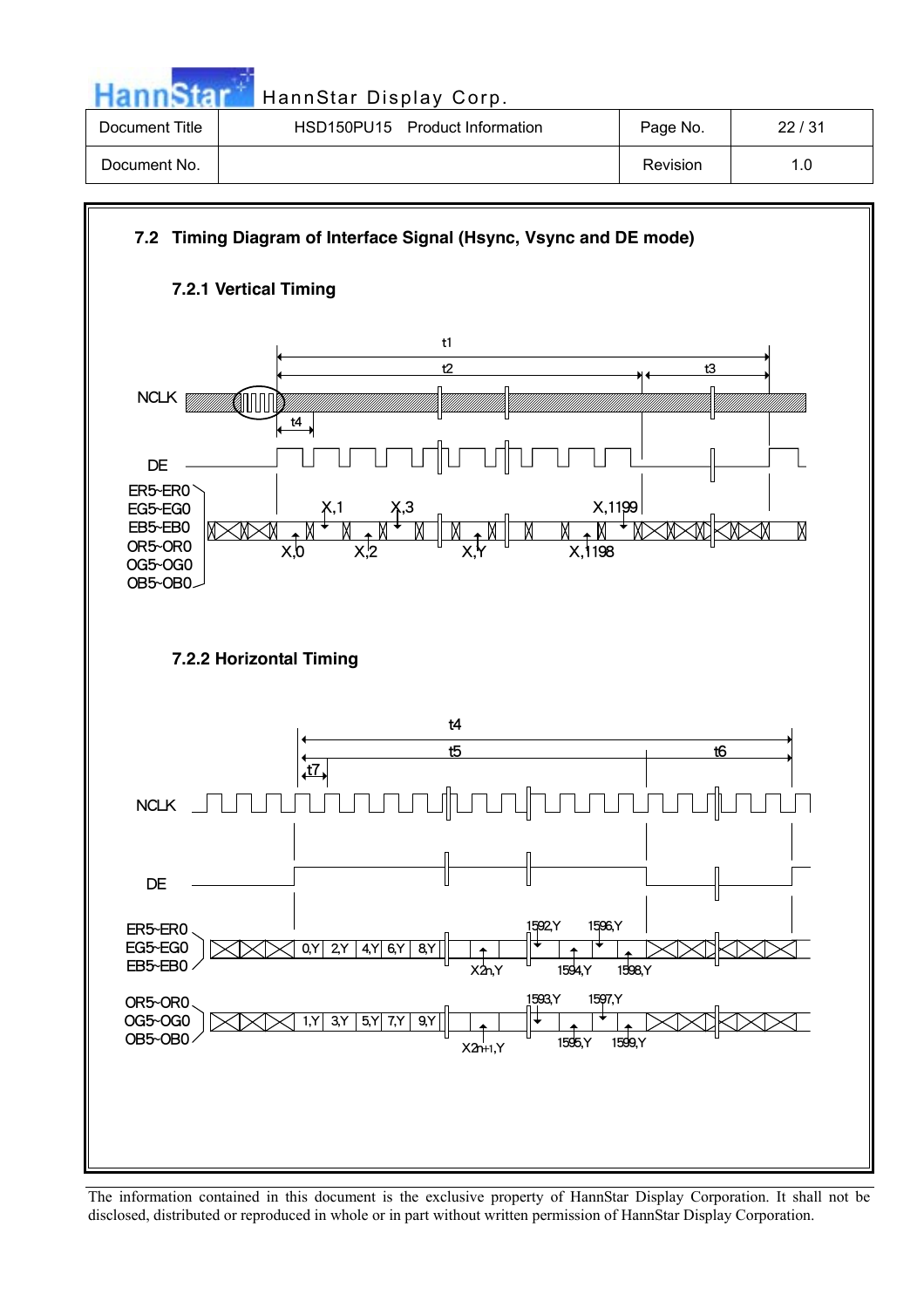| HannStar       | HannStar Display Corp.         |          |       |
|----------------|--------------------------------|----------|-------|
| Document Title | HSD150PU15 Product Information | Page No. | 22/31 |
| Document No.   |                                | Revision | 1.0   |

# **7.2 Timing Diagram of Interface Signal (Hsync, Vsync and DE mode) 7.2.1 Vertical Timing** t1 t2 t3 NCLK **[** ØNNN t4 DE ER5~ER0  $X, 1199$ X,1 X,3 EG5~EG0  $\frac{M_{y}}{X,1198}$ EB5~EB0 M OR5~OR0  $x<sub>0</sub>$ X,2 OG5~OG0 OB5~OB0 **7.2.2 Horizontal Timing** t4 t5 t6t7  $\Box$  $NCLK$   $\Box$ DE ER5~ER0 1592,Y 1596,Y EG5~EG0  $0, Y$  2, Y 4, Y 6, Y 8, Y EB5~EB0 1594,Y 1598,Y X2n,Y 1593,Y 1597,Y OR5~OR0 OG5~OG0  $1, Y$  3, Y 5, Y 7, Y 9, Y OB5~OB0 1595,Y 1599,Y X2n+1,Y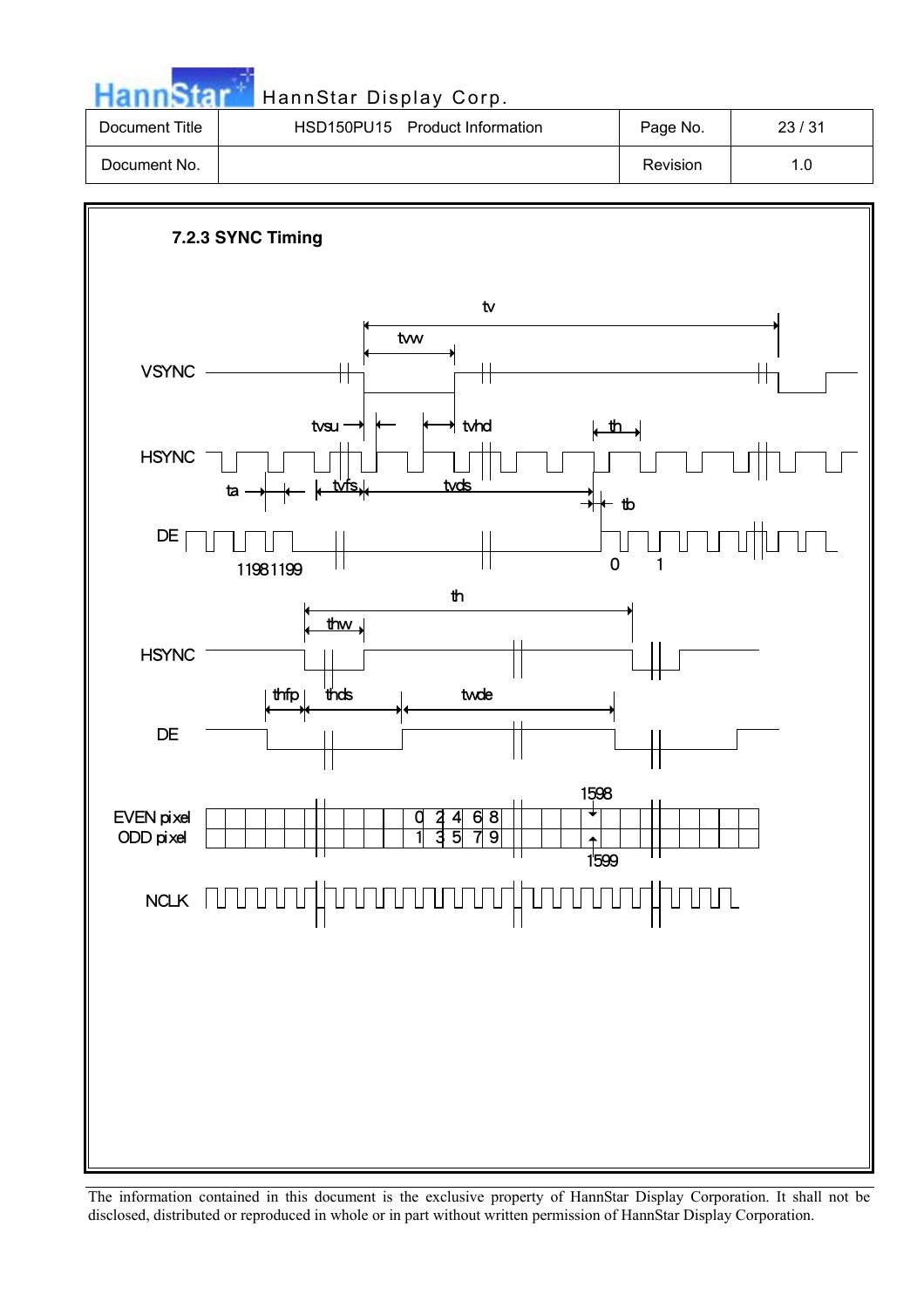**HannStar** 

# HannStar Display Corp.

| Document Title | HSD150PU15 Product Information | Page No. | 23/31 |
|----------------|--------------------------------|----------|-------|
| Document No.   |                                | Revision | 1.0   |

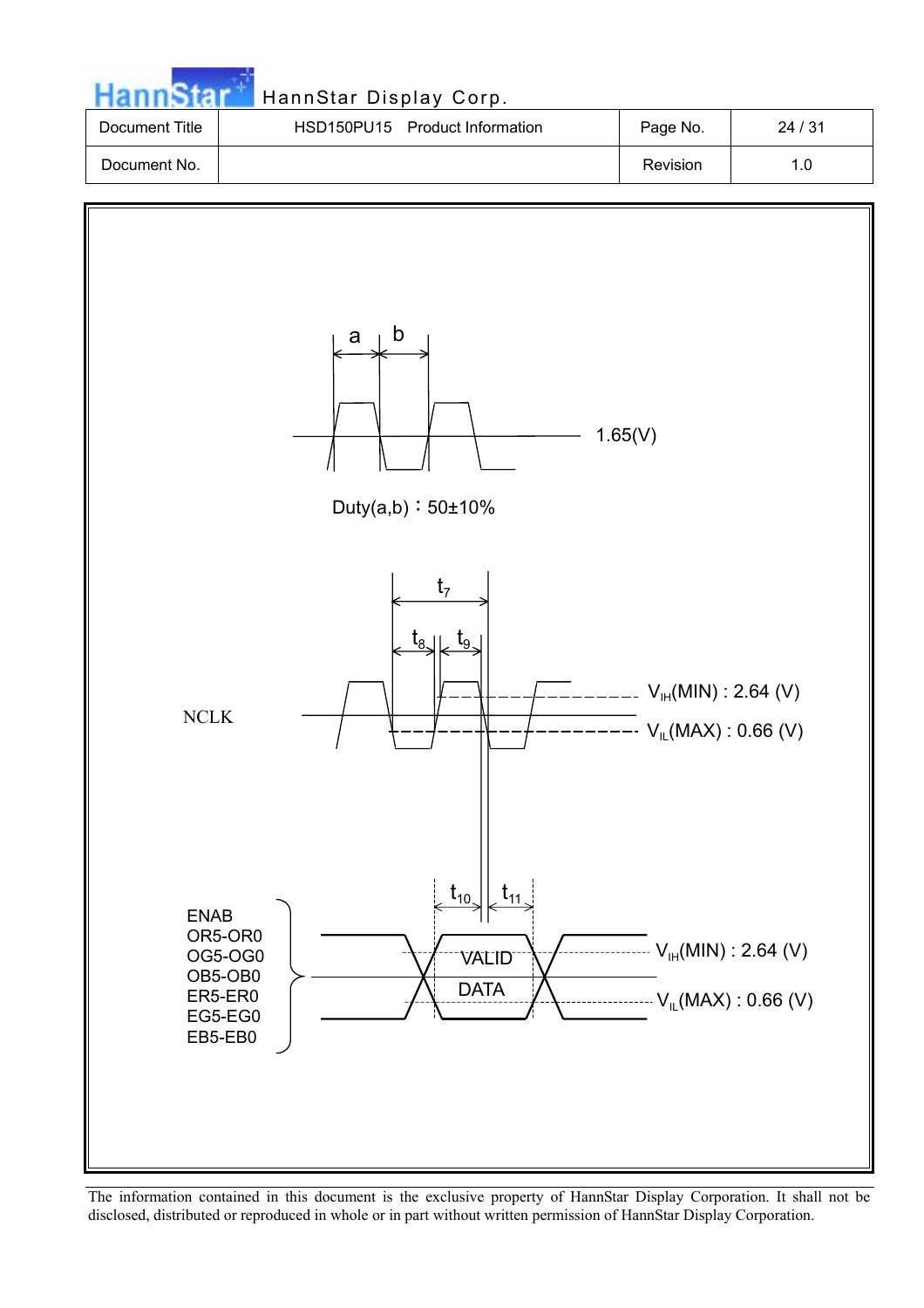| <b>HannStar</b> | HannStar Display Corp.         |          |       |
|-----------------|--------------------------------|----------|-------|
| Document Title  | HSD150PU15 Product Information | Page No. | 24/31 |
| Document No.    |                                | Revision | 1.0   |

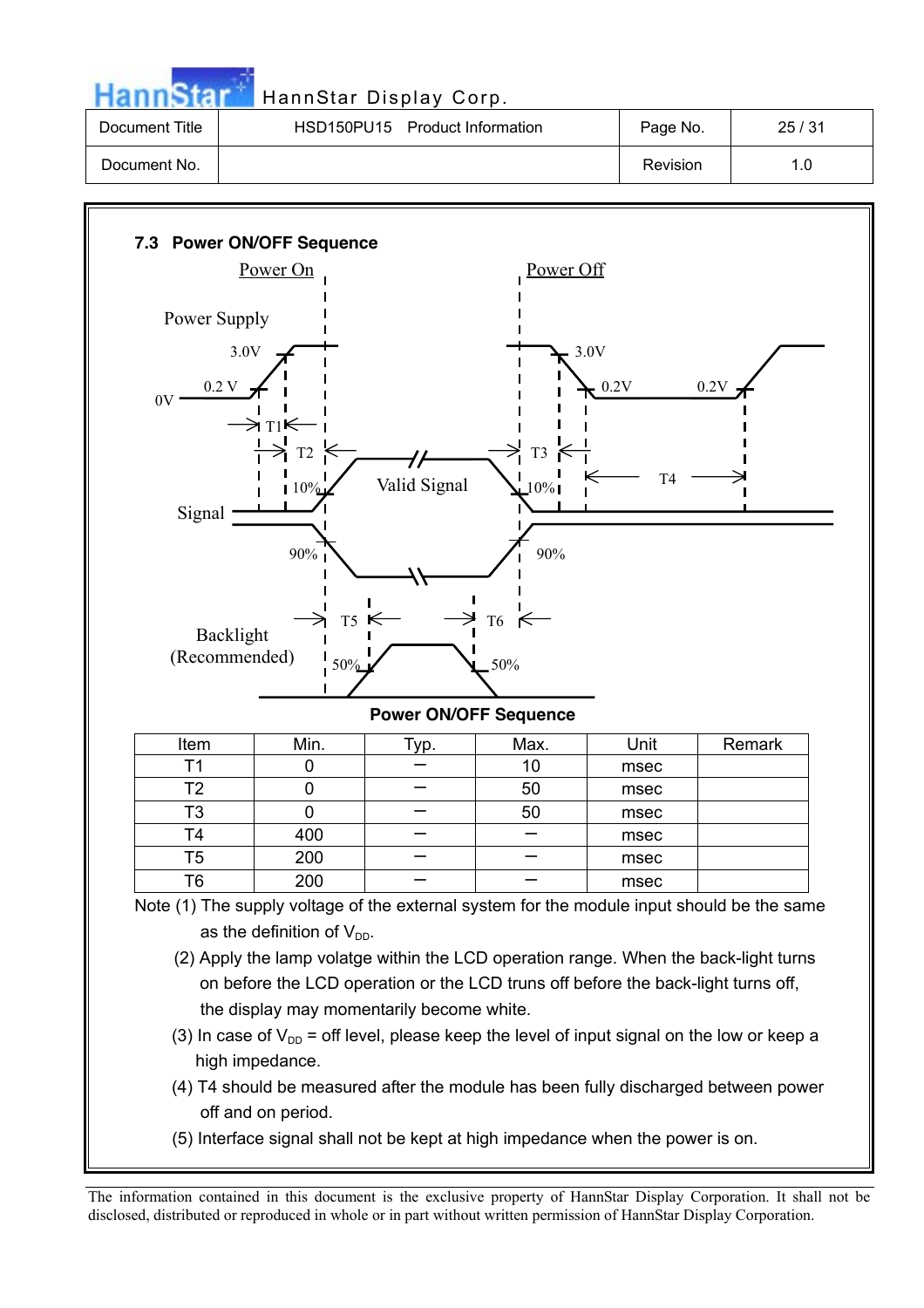|                | HannStar Display Corp.         |          |       |
|----------------|--------------------------------|----------|-------|
| Document Title | HSD150PU15 Product Information | Page No. | 25/31 |
| Document No.   |                                | Revision | 1.0   |



(5) Interface signal shall not be kept at high impedance when the power is on.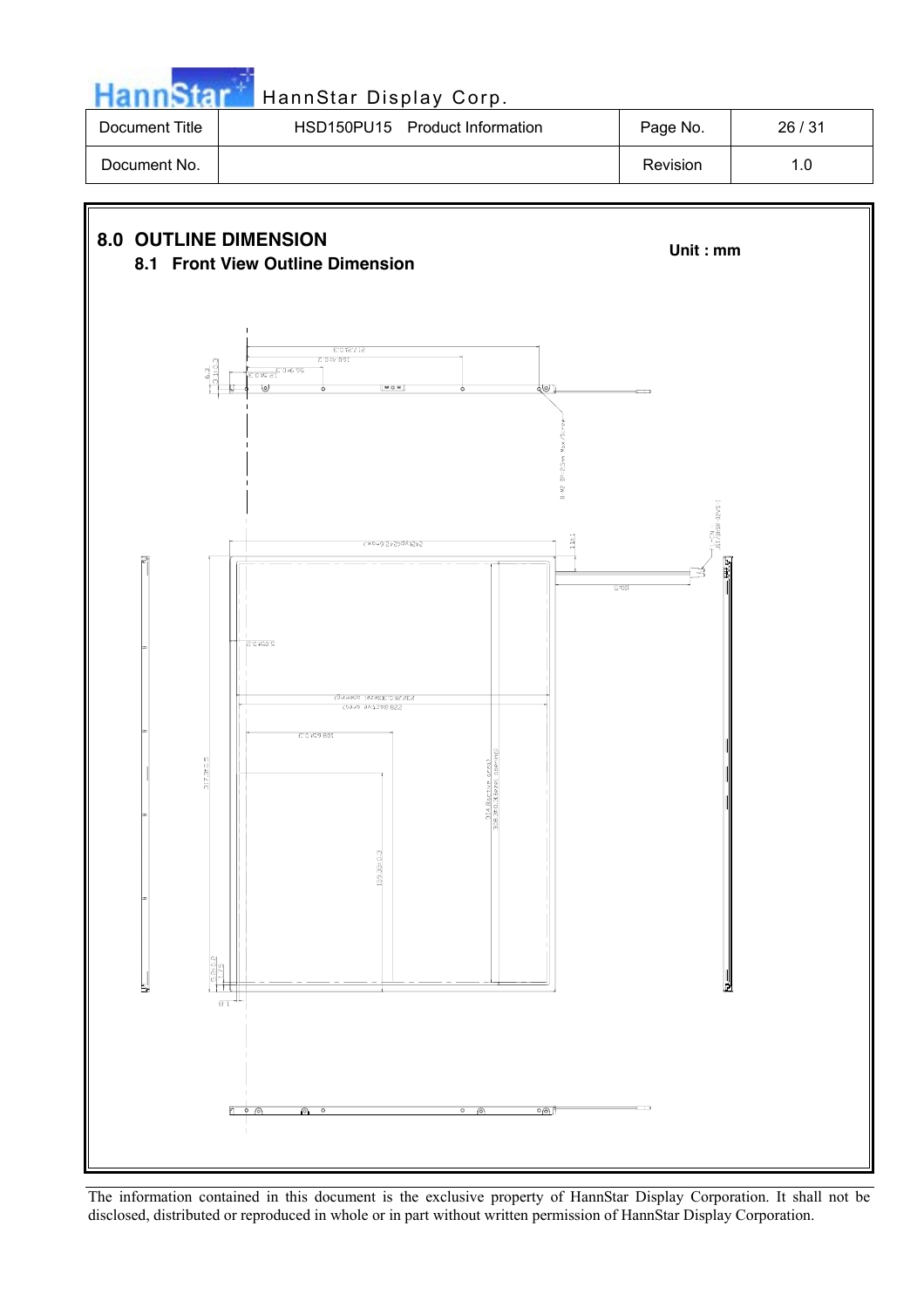

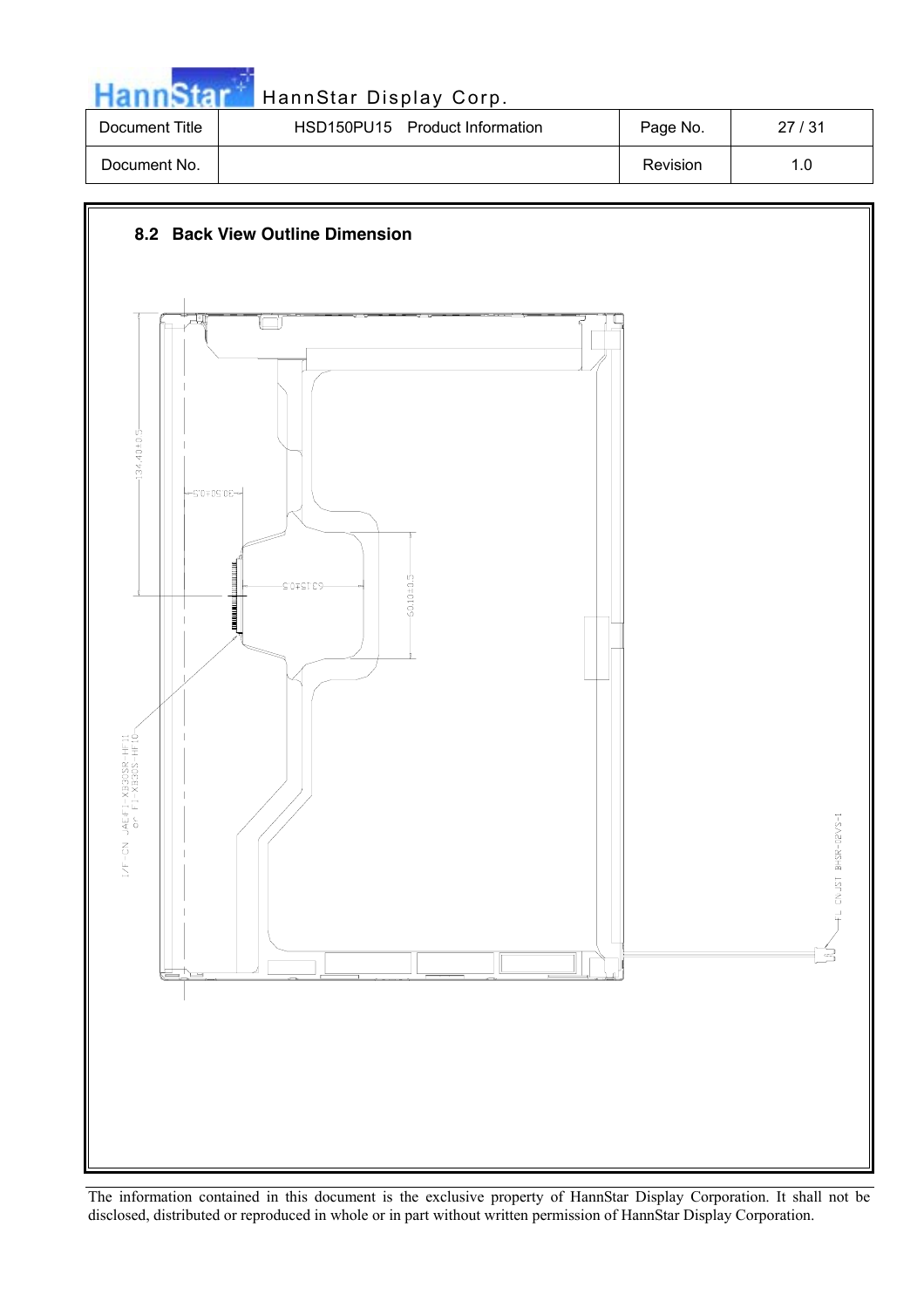| <b>HannStar</b> | HannStar Display Corp.         |          |       |
|-----------------|--------------------------------|----------|-------|
| Document Title  | HSD150PU15 Product Information | Page No. | 27/31 |
| Document No.    |                                | Revision | 1.0   |

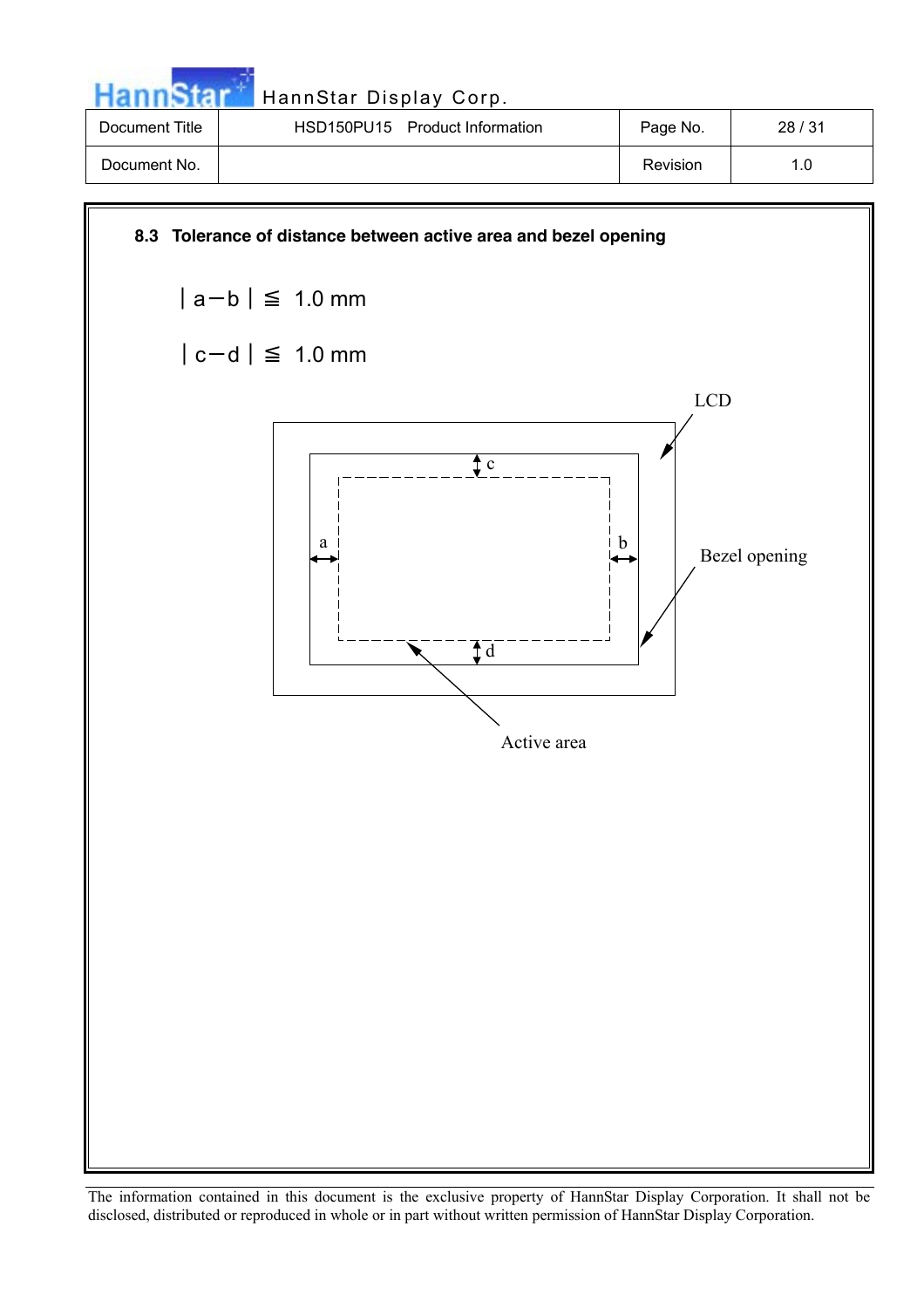| Hanns          | HannStar Display Corp.         |          |       |
|----------------|--------------------------------|----------|-------|
| Document Title | HSD150PU15 Product Information | Page No. | 28/31 |
| Document No.   |                                | Revision | 1.0   |

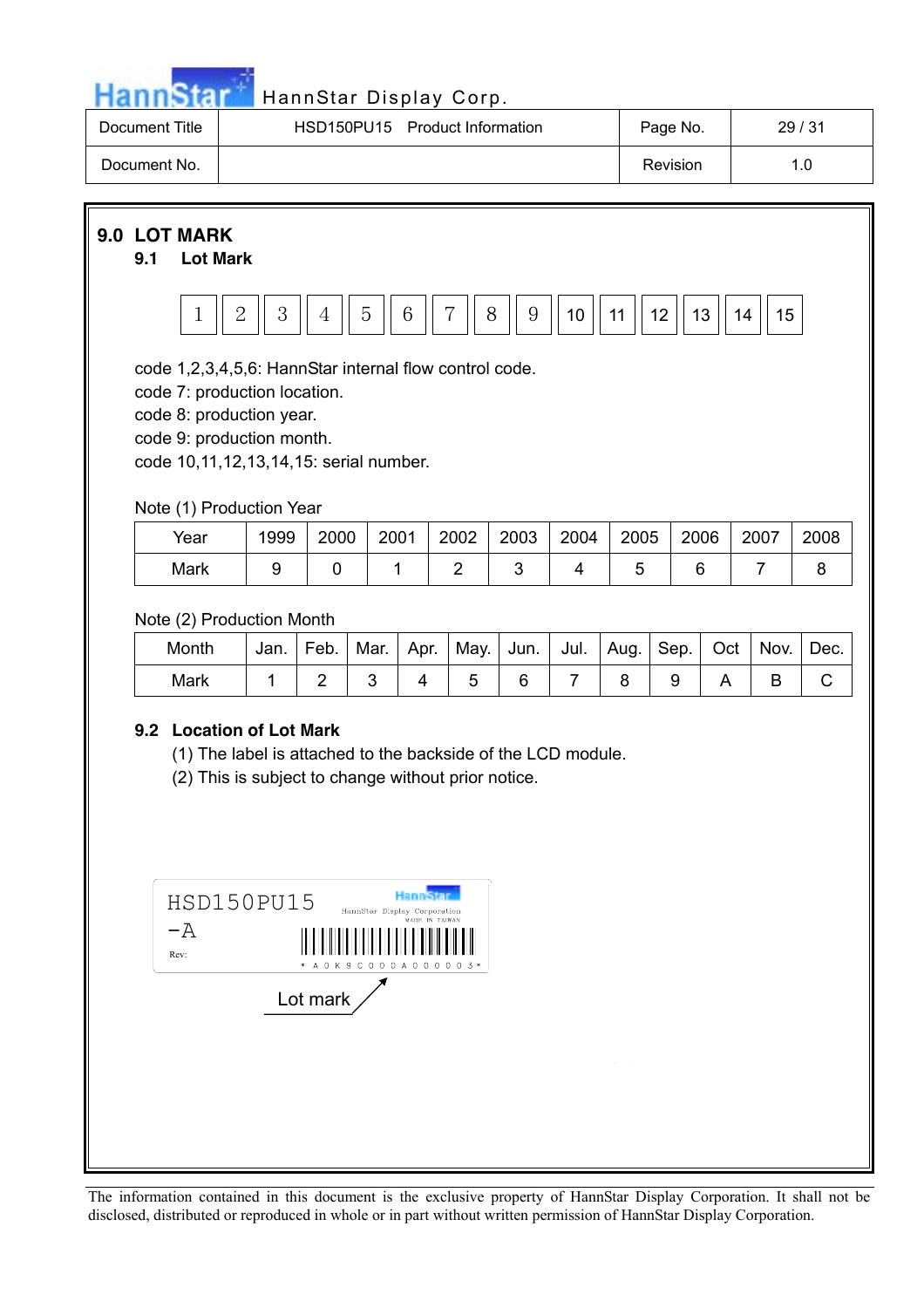

| Document Title | HSD150PU15 Product Information | Page No. | 29/31 |
|----------------|--------------------------------|----------|-------|
| Document No.   |                                | Revision | 1.0   |

## **9.0 LOT MARK**

#### **9.1 Lot Mark**



code 1,2,3,4,5,6: HannStar internal flow control code.

code 7: production location.

code 8: production year.

code 9: production month.

code 10,11,12,13,14,15: serial number.

### Note (1) Production Year

| Year | 1999 | 2000 | 2001 | 2002 | 2003 | 2004 | 2005 | 2006 | 2007 | 2008 |
|------|------|------|------|------|------|------|------|------|------|------|
| Mark |      |      |      |      |      |      |      |      |      |      |

Note (2) Production Month

| Month | Jan. | Feb. | Mar. | Apr. | May.   Jun. |  | Jul.   Aug.   Sep.   Oct |  | Nov. | Dec. |
|-------|------|------|------|------|-------------|--|--------------------------|--|------|------|
| Mark  |      |      |      |      |             |  |                          |  |      |      |

## **9.2 Location of Lot Mark**

(1) The label is attached to the backside of the LCD module.

(2) This is subject to change without prior notice.

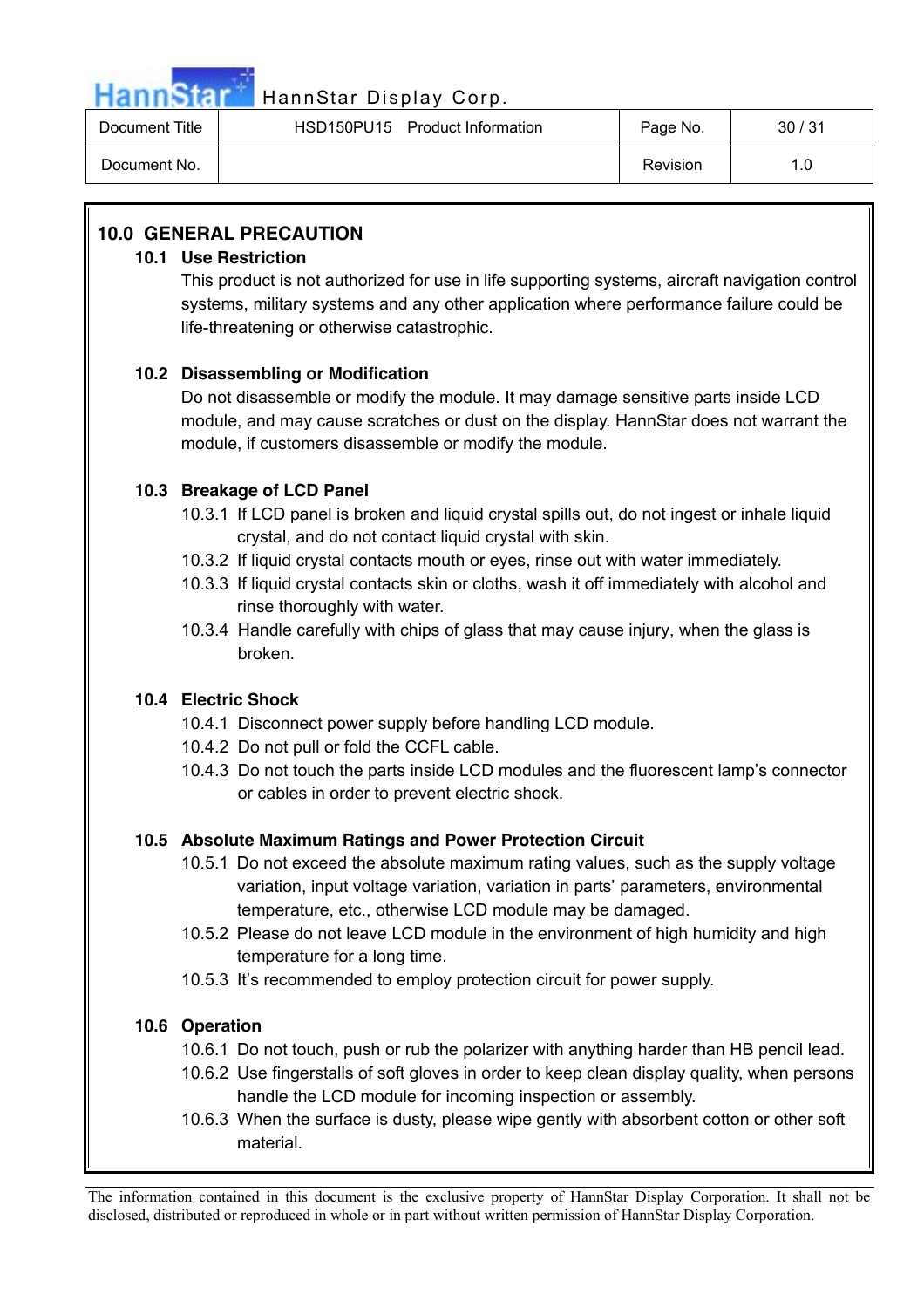

# HannStar HannStar Display Corp.

| Document Title | HSD150PU15 Product Information | Page No. | 30/31 |
|----------------|--------------------------------|----------|-------|
| Document No.   |                                | Revision | 1.0   |

# **10.0 GENERAL PRECAUTION**

## **10.1 Use Restriction**

This product is not authorized for use in life supporting systems, aircraft navigation control systems, military systems and any other application where performance failure could be life-threatening or otherwise catastrophic.

# **10.2 Disassembling or Modification**

Do not disassemble or modify the module. It may damage sensitive parts inside LCD module, and may cause scratches or dust on the display. HannStar does not warrant the module, if customers disassemble or modify the module.

# **10.3 Breakage of LCD Panel**

- 10.3.1 If LCD panel is broken and liquid crystal spills out, do not ingest or inhale liquid crystal, and do not contact liquid crystal with skin.
- 10.3.2 If liquid crystal contacts mouth or eyes, rinse out with water immediately.
- 10.3.3 If liquid crystal contacts skin or cloths, wash it off immediately with alcohol and rinse thoroughly with water.
- 10.3.4 Handle carefully with chips of glass that may cause injury, when the glass is broken.

# **10.4 Electric Shock**

- 10.4.1 Disconnect power supply before handling LCD module.
- 10.4.2 Do not pull or fold the CCFL cable.
- 10.4.3 Do not touch the parts inside LCD modules and the fluorescent lamp's connector or cables in order to prevent electric shock.

# **10.5 Absolute Maximum Ratings and Power Protection Circuit**

- 10.5.1 Do not exceed the absolute maximum rating values, such as the supply voltage variation, input voltage variation, variation in parts' parameters, environmental temperature, etc., otherwise LCD module may be damaged.
- 10.5.2 Please do not leave LCD module in the environment of high humidity and high temperature for a long time.
- 10.5.3 It's recommended to employ protection circuit for power supply.

# **10.6 Operation**

- 10.6.1 Do not touch, push or rub the polarizer with anything harder than HB pencil lead.
- 10.6.2 Use fingerstalls of soft gloves in order to keep clean display quality, when persons handle the LCD module for incoming inspection or assembly.
- 10.6.3 When the surface is dusty, please wipe gently with absorbent cotton or other soft material.